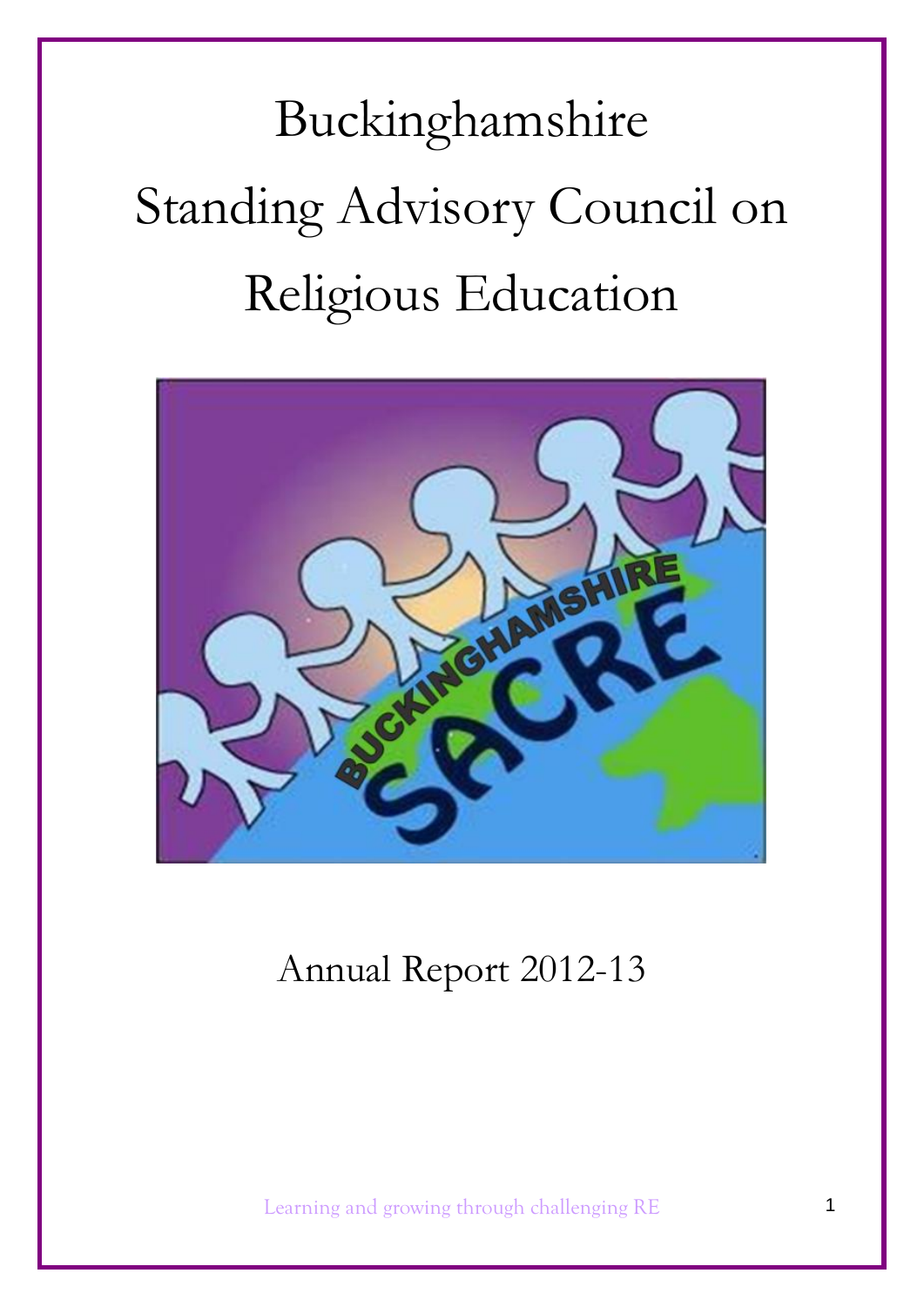Buckinghamshire Standing Advisory Council on Religious Education



# Annual Report 2012-13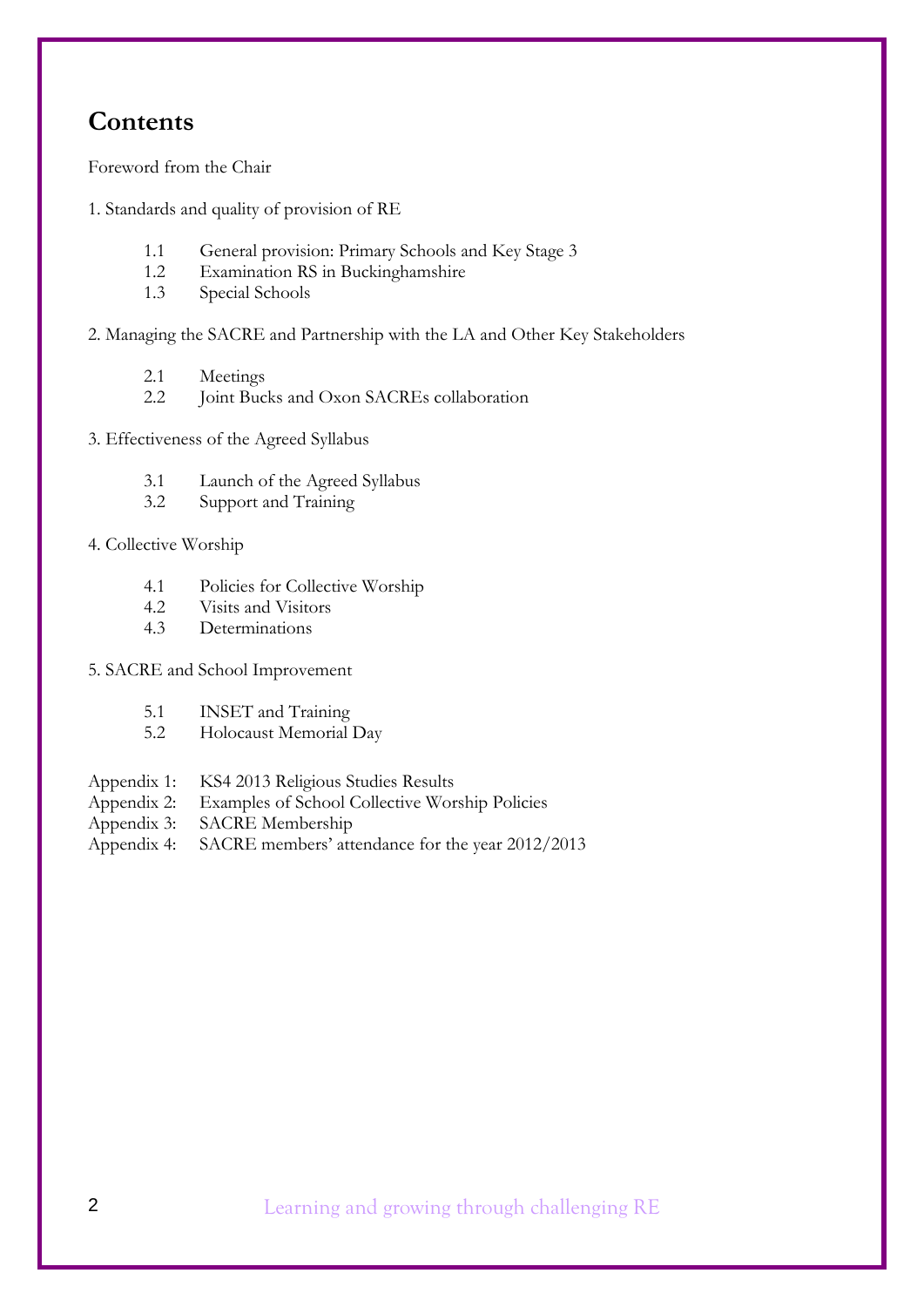## **Contents**

Foreword from the Chair

- 1. Standards and quality of provision of RE
	- 1.1 General provision: Primary Schools and Key Stage 3
	- 1.2 Examination RS in Buckinghamshire
	- 1.3 Special Schools

2. Managing the SACRE and Partnership with the LA and Other Key Stakeholders

- 2.1 Meetings
- 2.2 Joint Bucks and Oxon SACREs collaboration
- 3. Effectiveness of the Agreed Syllabus
	- 3.1 Launch of the Agreed Syllabus
	- 3.2 Support and Training
- 4. Collective Worship
	- 4.1 Policies for Collective Worship
	- 4.2 Visits and Visitors
	- 4.3 Determinations
- 5. SACRE and School Improvement
	- 5.1 INSET and Training
	- 5.2 Holocaust Memorial Day
- Appendix 1: KS4 2013 Religious Studies Results
- Appendix 2: Examples of School Collective Worship Policies
- Appendix 3: SACRE Membership
- Appendix 4: SACRE members' attendance for the year 2012/2013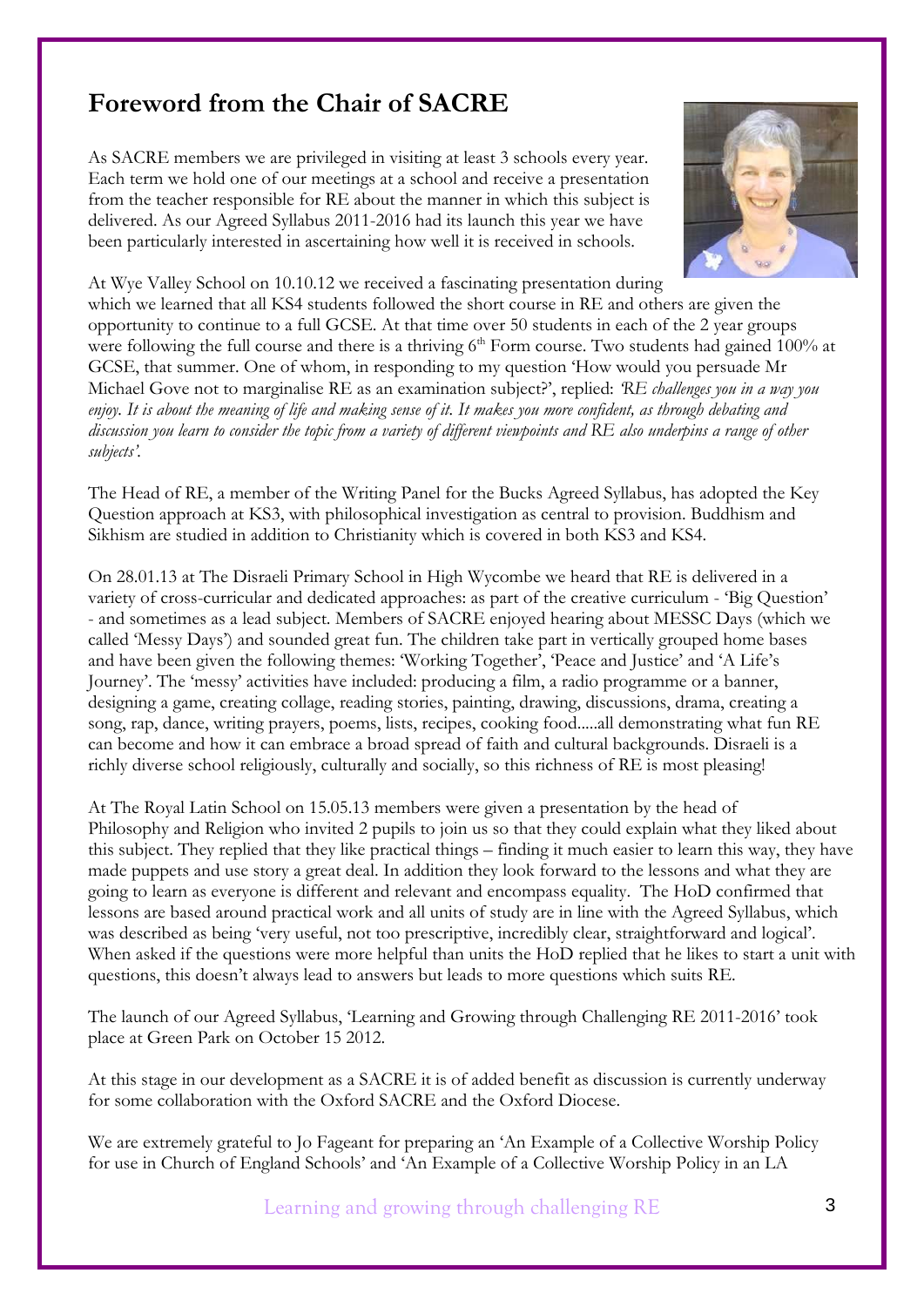## **Foreword from the Chair of SACRE**

As SACRE members we are privileged in visiting at least 3 schools every year. Each term we hold one of our meetings at a school and receive a presentation from the teacher responsible for RE about the manner in which this subject is delivered. As our Agreed Syllabus 2011-2016 had its launch this year we have been particularly interested in ascertaining how well it is received in schools.



At Wye Valley School on 10.10.12 we received a fascinating presentation during which we learned that all KS4 students followed the short course in RE and others are given the opportunity to continue to a full GCSE. At that time over 50 students in each of the 2 year groups were following the full course and there is a thriving  $6<sup>th</sup>$  Form course. Two students had gained 100% at GCSE, that summer. One of whom, in responding to my question 'How would you persuade Mr Michael Gove not to marginalise RE as an examination subject?', replied: *'RE challenges you in a way you enjoy. It is about the meaning of life and making sense of it. It makes you more confident, as through debating and discussion you learn to consider the topic from a variety of different viewpoints and RE also underpins a range of other subjects'.* 

The Head of RE, a member of the Writing Panel for the Bucks Agreed Syllabus, has adopted the Key Question approach at KS3, with philosophical investigation as central to provision. Buddhism and Sikhism are studied in addition to Christianity which is covered in both KS3 and KS4.

On 28.01.13 at The Disraeli Primary School in High Wycombe we heard that RE is delivered in a variety of cross-curricular and dedicated approaches: as part of the creative curriculum - 'Big Question' - and sometimes as a lead subject. Members of SACRE enjoyed hearing about MESSC Days (which we called 'Messy Days') and sounded great fun. The children take part in vertically grouped home bases and have been given the following themes: 'Working Together', 'Peace and Justice' and 'A Life's Journey'. The 'messy' activities have included: producing a film, a radio programme or a banner, designing a game, creating collage, reading stories, painting, drawing, discussions, drama, creating a song, rap, dance, writing prayers, poems, lists, recipes, cooking food.....all demonstrating what fun RE can become and how it can embrace a broad spread of faith and cultural backgrounds. Disraeli is a richly diverse school religiously, culturally and socially, so this richness of RE is most pleasing!

At The Royal Latin School on 15.05.13 members were given a presentation by the head of Philosophy and Religion who invited 2 pupils to join us so that they could explain what they liked about this subject. They replied that they like practical things – finding it much easier to learn this way, they have made puppets and use story a great deal. In addition they look forward to the lessons and what they are going to learn as everyone is different and relevant and encompass equality. The HoD confirmed that lessons are based around practical work and all units of study are in line with the Agreed Syllabus, which was described as being 'very useful, not too prescriptive, incredibly clear, straightforward and logical'. When asked if the questions were more helpful than units the HoD replied that he likes to start a unit with questions, this doesn't always lead to answers but leads to more questions which suits RE.

The launch of our Agreed Syllabus, 'Learning and Growing through Challenging RE 2011-2016' took place at Green Park on October 15 2012.

At this stage in our development as a SACRE it is of added benefit as discussion is currently underway for some collaboration with the Oxford SACRE and the Oxford Diocese.

We are extremely grateful to Jo Fageant for preparing an 'An Example of a Collective Worship Policy for use in Church of England Schools' and 'An Example of a Collective Worship Policy in an LA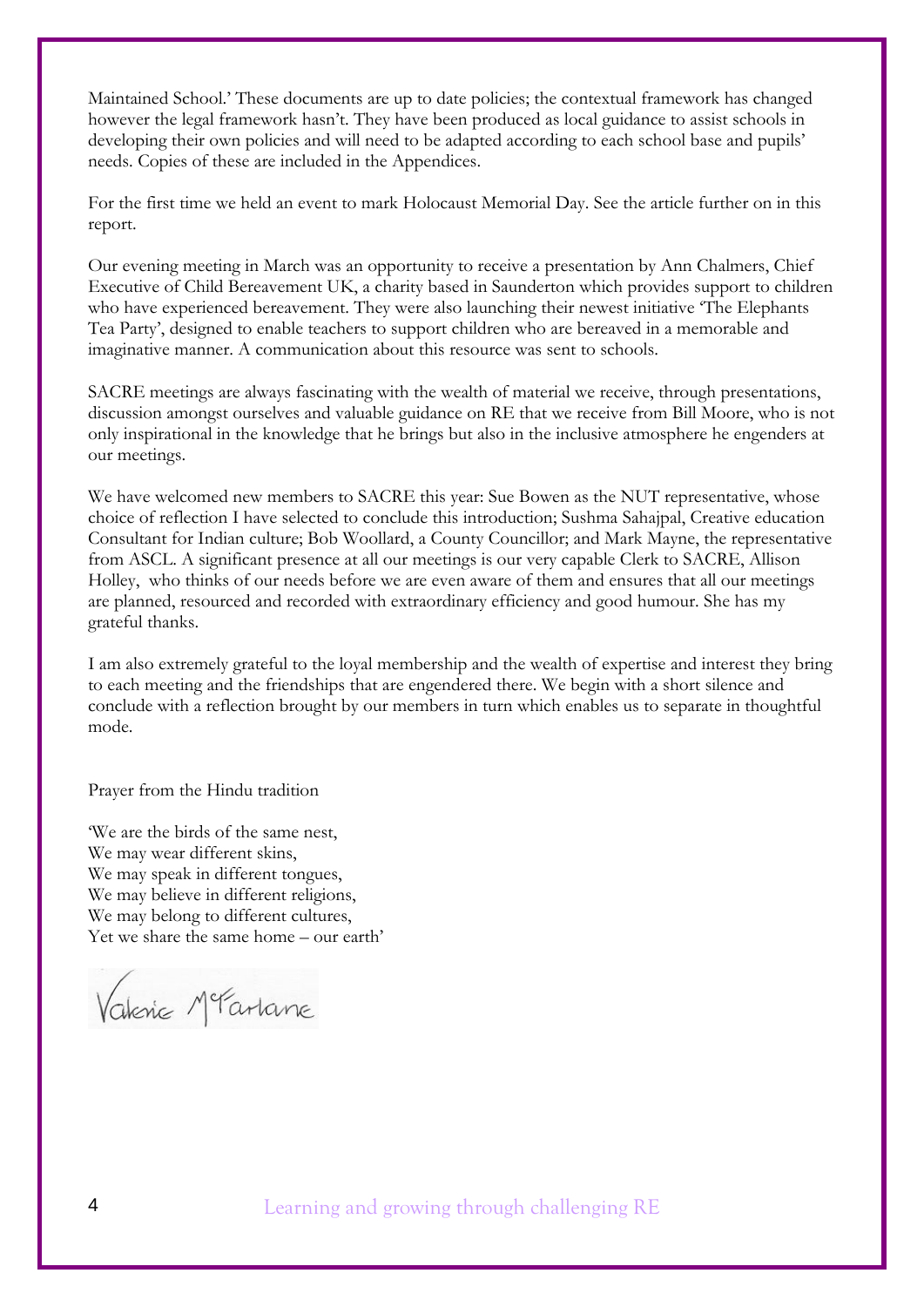Maintained School.' These documents are up to date policies; the contextual framework has changed however the legal framework hasn't. They have been produced as local guidance to assist schools in developing their own policies and will need to be adapted according to each school base and pupils' needs. Copies of these are included in the Appendices.

For the first time we held an event to mark Holocaust Memorial Day. See the article further on in this report.

Our evening meeting in March was an opportunity to receive a presentation by Ann Chalmers, Chief Executive of Child Bereavement UK, a charity based in Saunderton which provides support to children who have experienced bereavement. They were also launching their newest initiative 'The Elephants Tea Party', designed to enable teachers to support children who are bereaved in a memorable and imaginative manner. A communication about this resource was sent to schools.

SACRE meetings are always fascinating with the wealth of material we receive, through presentations, discussion amongst ourselves and valuable guidance on RE that we receive from Bill Moore, who is not only inspirational in the knowledge that he brings but also in the inclusive atmosphere he engenders at our meetings.

We have welcomed new members to SACRE this year: Sue Bowen as the NUT representative, whose choice of reflection I have selected to conclude this introduction; Sushma Sahajpal, Creative education Consultant for Indian culture; Bob Woollard, a County Councillor; and Mark Mayne, the representative from ASCL. A significant presence at all our meetings is our very capable Clerk to SACRE, Allison Holley, who thinks of our needs before we are even aware of them and ensures that all our meetings are planned, resourced and recorded with extraordinary efficiency and good humour. She has my grateful thanks.

I am also extremely grateful to the loyal membership and the wealth of expertise and interest they bring to each meeting and the friendships that are engendered there. We begin with a short silence and conclude with a reflection brought by our members in turn which enables us to separate in thoughtful mode.

Prayer from the Hindu tradition

'We are the birds of the same nest, We may wear different skins, We may speak in different tongues, We may believe in different religions, We may belong to different cultures, Yet we share the same home – our earth'

Vakine MeTarlane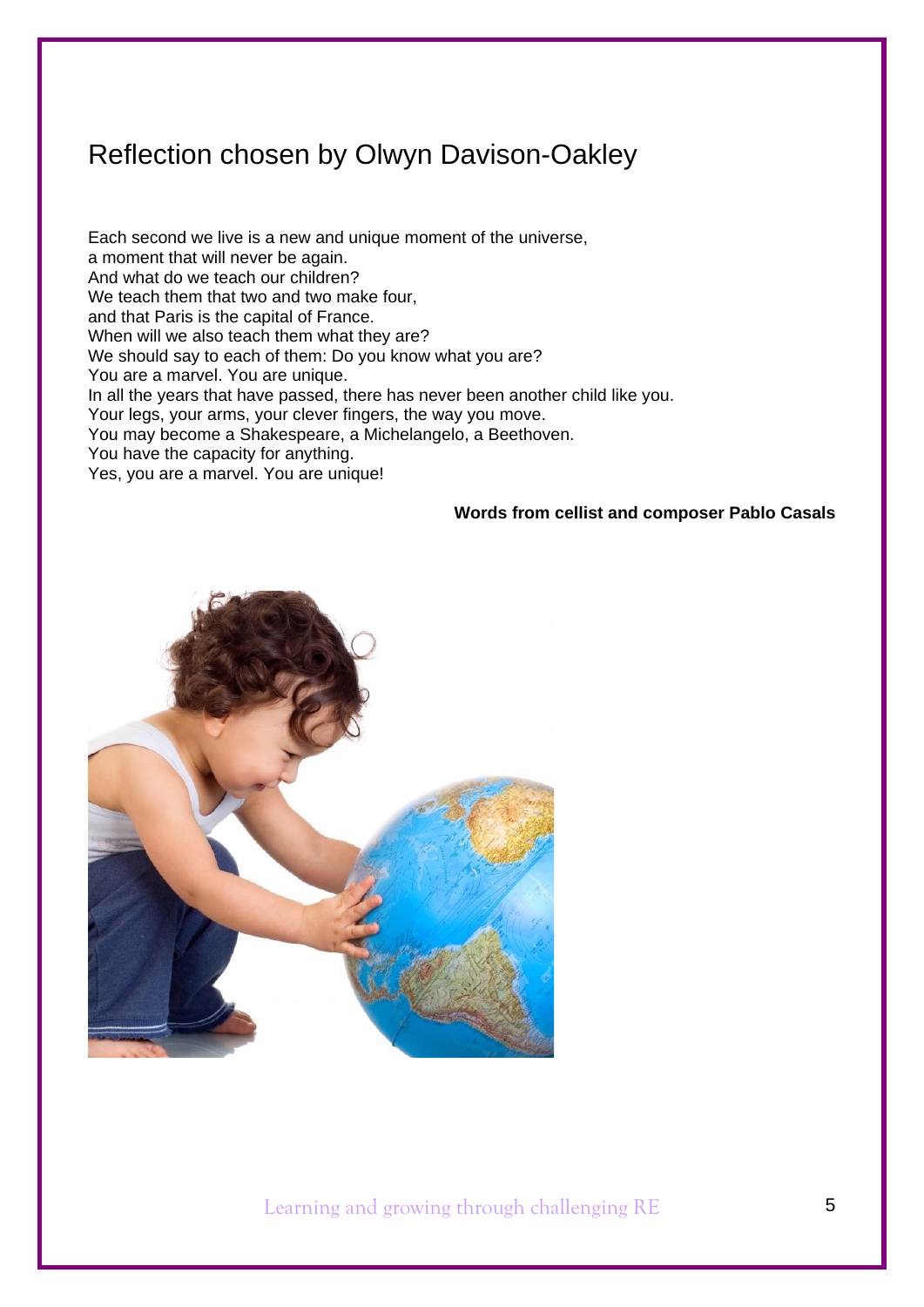## Reflection chosen by Olwyn Davison-Oakley

Each second we live is a new and unique moment of the universe, a moment that will never be again. And what do we teach our children? We teach them that two and two make four, and that Paris is the capital of France. When will we also teach them what they are? We should say to each of them: Do you know what you are? You are a marvel. You are unique. In all the years that have passed, there has never been another child like you. Your legs, your arms, your clever fingers, the way you move. You may become a Shakespeare, a Michelangelo, a Beethoven. You have the capacity for anything. Yes, you are a marvel. You are unique!

#### **Words from cellist and composer Pablo Casals**

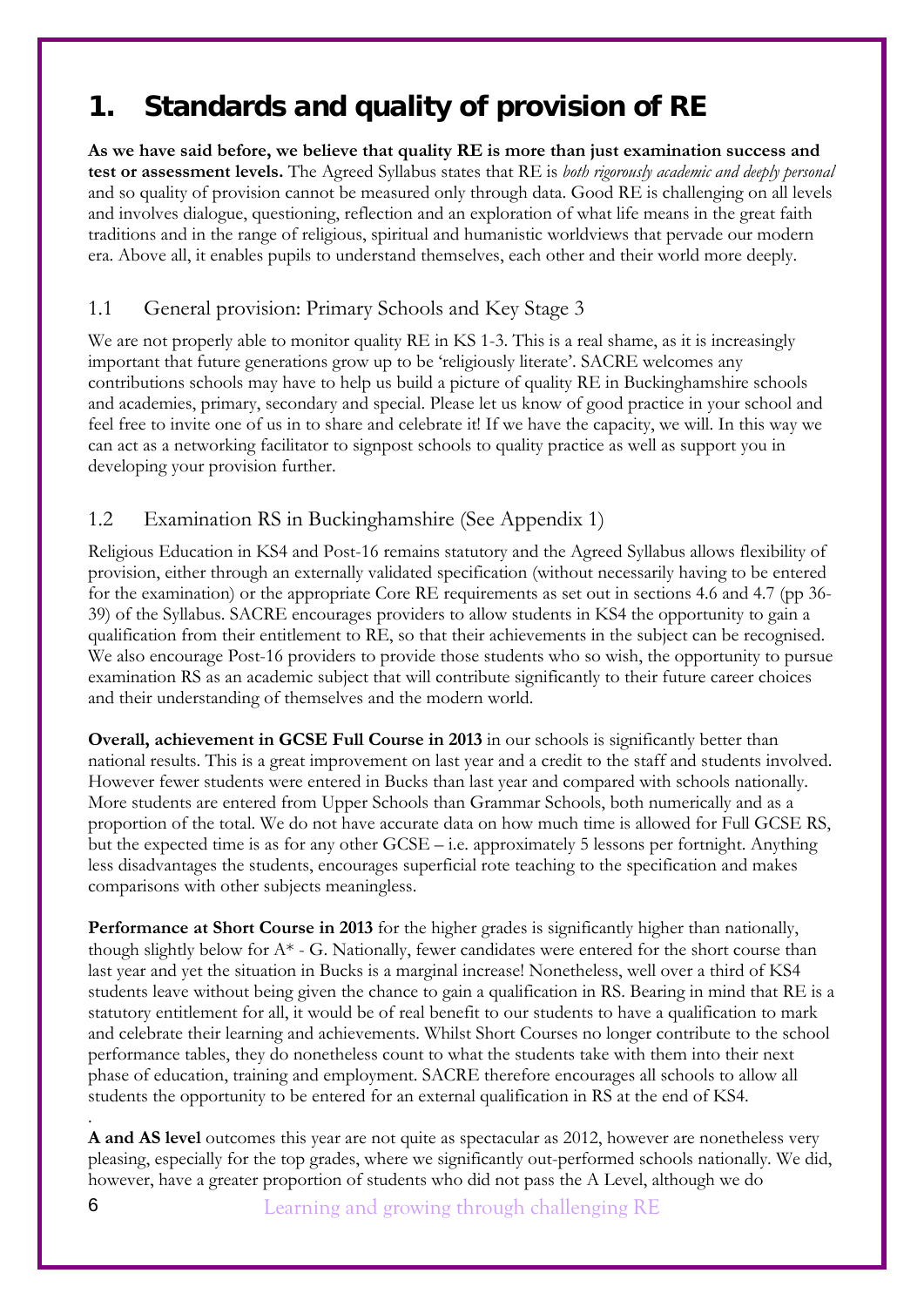## **1. Standards and quality of provision of RE**

**As we have said before, we believe that quality RE is more than just examination success and test or assessment levels.** The Agreed Syllabus states that RE is *both rigorously academic and deeply personal*  and so quality of provision cannot be measured only through data. Good RE is challenging on all levels and involves dialogue, questioning, reflection and an exploration of what life means in the great faith traditions and in the range of religious, spiritual and humanistic worldviews that pervade our modern era. Above all, it enables pupils to understand themselves, each other and their world more deeply.

## 1.1 General provision: Primary Schools and Key Stage 3

We are not properly able to monitor quality RE in KS 1-3. This is a real shame, as it is increasingly important that future generations grow up to be 'religiously literate'. SACRE welcomes any contributions schools may have to help us build a picture of quality RE in Buckinghamshire schools and academies, primary, secondary and special. Please let us know of good practice in your school and feel free to invite one of us in to share and celebrate it! If we have the capacity, we will. In this way we can act as a networking facilitator to signpost schools to quality practice as well as support you in developing your provision further.

## 1.2 Examination RS in Buckinghamshire (See Appendix 1)

Religious Education in KS4 and Post-16 remains statutory and the Agreed Syllabus allows flexibility of provision, either through an externally validated specification (without necessarily having to be entered for the examination) or the appropriate Core RE requirements as set out in sections 4.6 and 4.7 (pp 36- 39) of the Syllabus. SACRE encourages providers to allow students in KS4 the opportunity to gain a qualification from their entitlement to RE, so that their achievements in the subject can be recognised. We also encourage Post-16 providers to provide those students who so wish, the opportunity to pursue examination RS as an academic subject that will contribute significantly to their future career choices and their understanding of themselves and the modern world.

**Overall, achievement in GCSE Full Course in 2013** in our schools is significantly better than national results. This is a great improvement on last year and a credit to the staff and students involved. However fewer students were entered in Bucks than last year and compared with schools nationally. More students are entered from Upper Schools than Grammar Schools, both numerically and as a proportion of the total. We do not have accurate data on how much time is allowed for Full GCSE RS, but the expected time is as for any other GCSE – i.e. approximately 5 lessons per fortnight. Anything less disadvantages the students, encourages superficial rote teaching to the specification and makes comparisons with other subjects meaningless.

**Performance at Short Course in 2013** for the higher grades is significantly higher than nationally, though slightly below for  $A^*$  - G. Nationally, fewer candidates were entered for the short course than last year and yet the situation in Bucks is a marginal increase! Nonetheless, well over a third of KS4 students leave without being given the chance to gain a qualification in RS. Bearing in mind that RE is a statutory entitlement for all, it would be of real benefit to our students to have a qualification to mark and celebrate their learning and achievements. Whilst Short Courses no longer contribute to the school performance tables, they do nonetheless count to what the students take with them into their next phase of education, training and employment. SACRE therefore encourages all schools to allow all students the opportunity to be entered for an external qualification in RS at the end of KS4.

. **A and AS level** outcomes this year are not quite as spectacular as 2012, however are nonetheless very pleasing, especially for the top grades, where we significantly out-performed schools nationally. We did, however, have a greater proportion of students who did not pass the A Level, although we do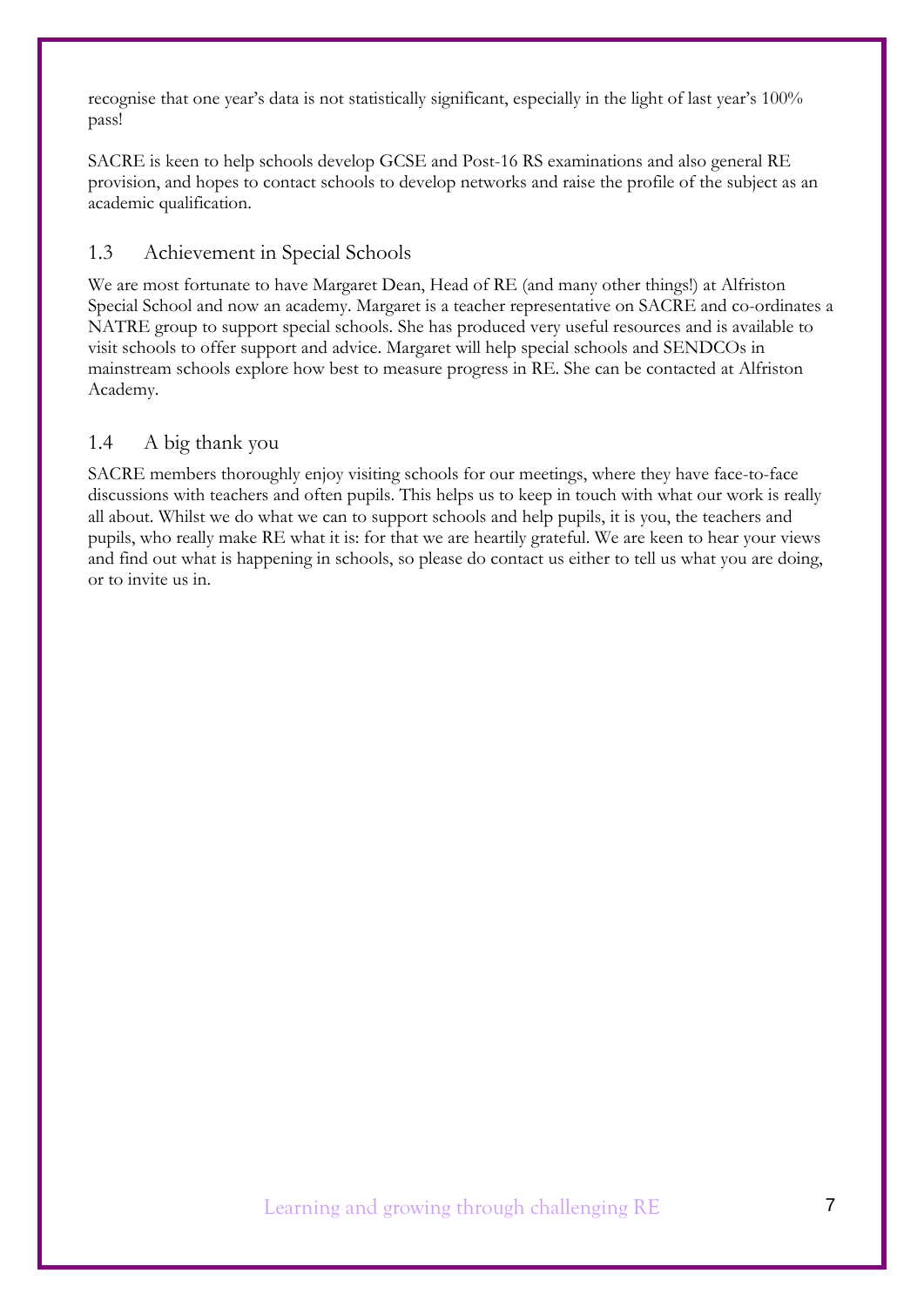recognise that one year's data is not statistically significant, especially in the light of last year's 100% pass!

SACRE is keen to help schools develop GCSE and Post-16 RS examinations and also general RE provision, and hopes to contact schools to develop networks and raise the profile of the subject as an academic qualification.

## 1.3 Achievement in Special Schools

We are most fortunate to have Margaret Dean, Head of RE (and many other things!) at Alfriston Special School and now an academy. Margaret is a teacher representative on SACRE and co-ordinates a NATRE group to support special schools. She has produced very useful resources and is available to visit schools to offer support and advice. Margaret will help special schools and SENDCOs in mainstream schools explore how best to measure progress in RE. She can be contacted at Alfriston Academy.

## 1.4 A big thank you

SACRE members thoroughly enjoy visiting schools for our meetings, where they have face-to-face discussions with teachers and often pupils. This helps us to keep in touch with what our work is really all about. Whilst we do what we can to support schools and help pupils, it is you, the teachers and pupils, who really make RE what it is: for that we are heartily grateful. We are keen to hear your views and find out what is happening in schools, so please do contact us either to tell us what you are doing, or to invite us in.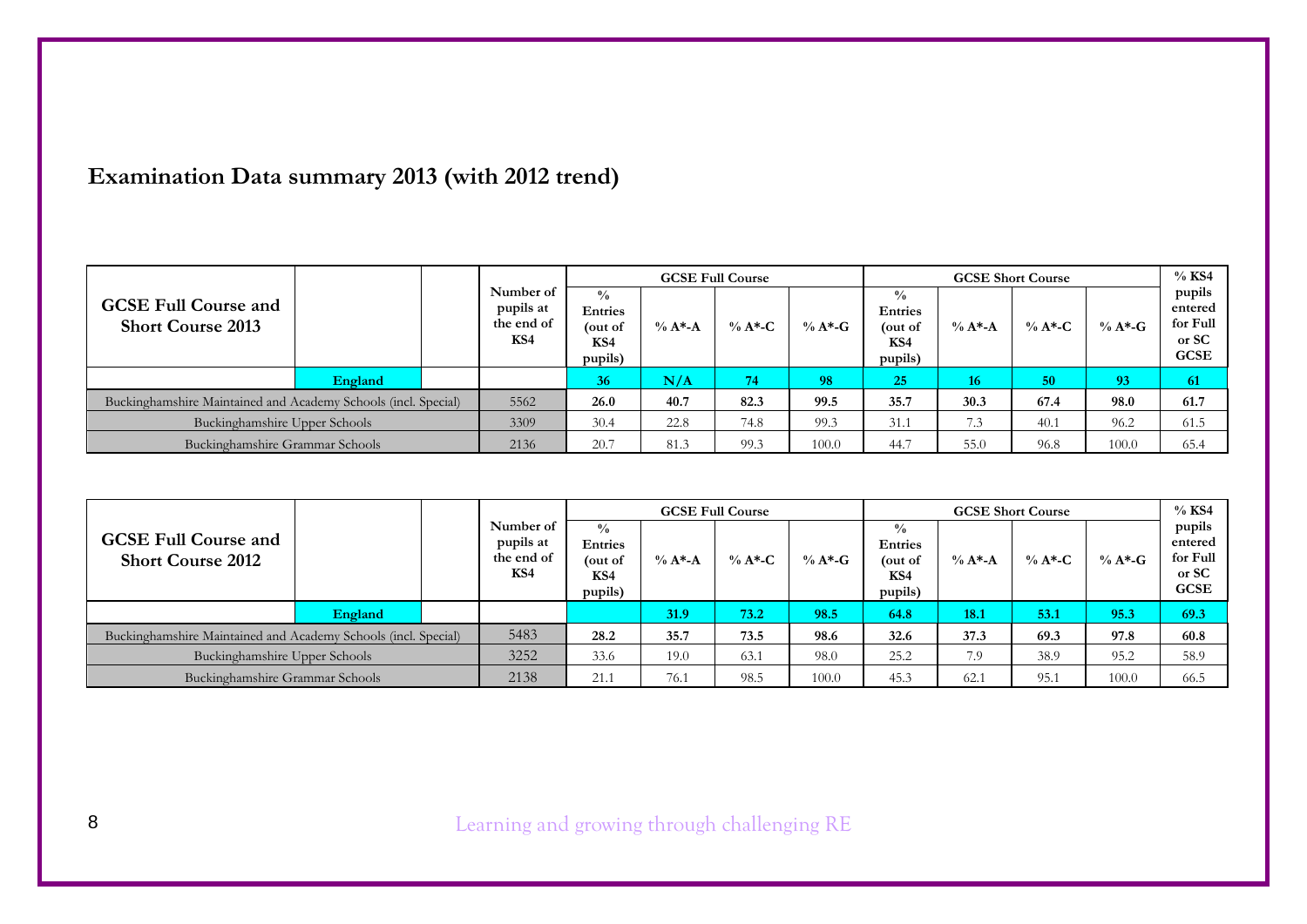## **Examination Data summary 2013 (with 2012 trend)**

|                                                                |         |      |                                             |                                                            |             | <b>GCSE Full Course</b> |            |                                                              |            | <b>GCSE Short Course</b> |            | $%$ KS4                                               |
|----------------------------------------------------------------|---------|------|---------------------------------------------|------------------------------------------------------------|-------------|-------------------------|------------|--------------------------------------------------------------|------------|--------------------------|------------|-------------------------------------------------------|
| <b>GCSE Full Course and</b><br><b>Short Course 2013</b>        |         |      | Number of<br>pupils at<br>the end of<br>KS4 | $^{0}/_{0}$<br><b>Entries</b><br>(out of<br>KS4<br>pupils) | $\% A^*$ -A | $\% A*$ -C              | % $A^*$ -G | $\frac{0}{0}$<br><b>Entries</b><br>(out of<br>KS4<br>pupils) | $\% A^* A$ | $\% A^{\ast}$ -C         | $\% A*$ -G | pupils<br>entered<br>for Full<br>or SC<br><b>GCSE</b> |
|                                                                | England |      |                                             | 36                                                         | N/A         | 74                      | 98         | 25                                                           | 16         | 50                       | 93         | 61                                                    |
| Buckinghamshire Maintained and Academy Schools (incl. Special) |         | 5562 | 26.0                                        | 40.7                                                       | 82.3        | 99.5                    | 35.7       | 30.3                                                         | 67.4       | 98.0                     | 61.7       |                                                       |
| Buckinghamshire Upper Schools                                  |         | 3309 | 30.4                                        | 22.8                                                       | 74.8        | 99.3                    | 31.1       | 7.3                                                          | 40.1       | 96.2                     | 61.5       |                                                       |
| Buckinghamshire Grammar Schools                                |         | 2136 | 20.7                                        | 81.3                                                       | 99.3        | 100.0                   | 44.7       | 55.0                                                         | 96.8       | 100.0                    | 65.4       |                                                       |

|                                                                |         |      |                                             |                                                              |            | <b>GCSE Full Course</b> |           |                                                              |            | <b>GCSE Short Course</b> |            | $%$ KS4                                               |
|----------------------------------------------------------------|---------|------|---------------------------------------------|--------------------------------------------------------------|------------|-------------------------|-----------|--------------------------------------------------------------|------------|--------------------------|------------|-------------------------------------------------------|
| <b>GCSE Full Course and</b><br><b>Short Course 2012</b>        |         |      | Number of<br>pupils at<br>the end of<br>KS4 | $\frac{0}{0}$<br><b>Entries</b><br>(out of<br>KS4<br>pupils) | $\% A^* A$ | $\% A*$ -C              | $\% A^*G$ | $\frac{0}{0}$<br><b>Entries</b><br>out of)<br>KS4<br>pupils) | $\% A^* A$ | $\% A*$ -C               | $\% A*$ -G | pupils<br>entered<br>for Full<br>or SC<br><b>GCSE</b> |
|                                                                | England |      |                                             |                                                              | 31.9       | 73.2                    | 98.5      | 64.8                                                         | 18.1       | 53.1                     | 95.3       | 69.3                                                  |
| Buckinghamshire Maintained and Academy Schools (incl. Special) |         |      | 5483                                        | 28.2                                                         | 35.7       | 73.5                    | 98.6      | 32.6                                                         | 37.3       | 69.3                     | 97.8       | 60.8                                                  |
| Buckinghamshire Upper Schools                                  |         | 3252 | 33.6                                        | 19.0                                                         | 63.1       | 98.0                    | 25.2      | 7.9                                                          | 38.9       | 95.2                     | 58.9       |                                                       |
| Buckinghamshire Grammar Schools                                |         | 2138 | 21.1                                        | 76.1                                                         | 98.5       | 100.0                   | 45.3      | 62.1                                                         | 95.1       | 100.0                    | 66.5       |                                                       |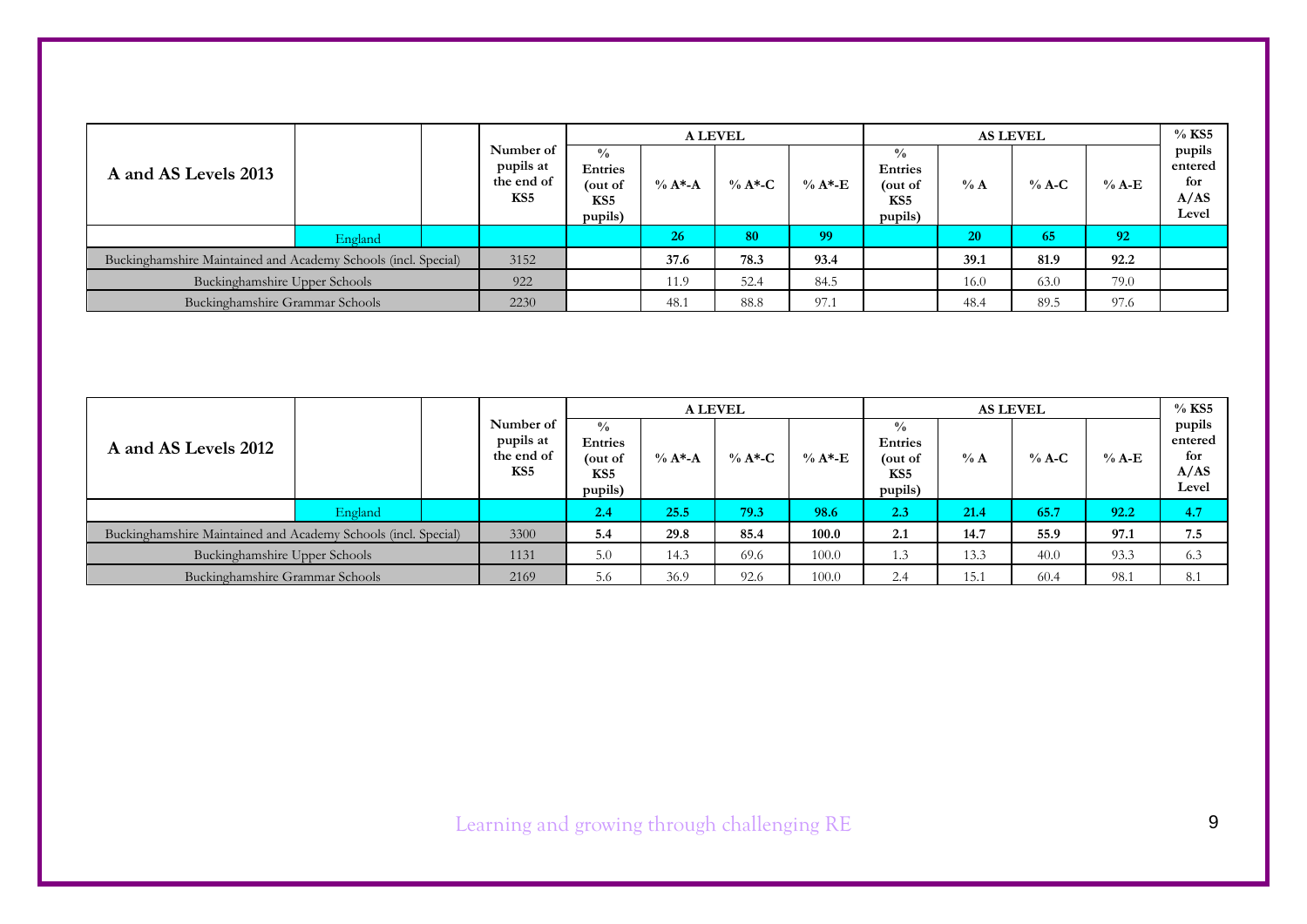|                                                                |         |      |                                                         |                                                                          |            | <b>A LEVEL</b> |           |                                                                          |        | <b>AS LEVEL</b> |         | $%$ KS5                                   |
|----------------------------------------------------------------|---------|------|---------------------------------------------------------|--------------------------------------------------------------------------|------------|----------------|-----------|--------------------------------------------------------------------------|--------|-----------------|---------|-------------------------------------------|
| A and AS Levels 2013                                           |         |      | Number of<br>pupils at<br>the end of<br>KS <sub>5</sub> | $\frac{0}{0}$<br><b>Entries</b><br>(out of<br>KS <sub>5</sub><br>pupils) | $\% A^* A$ | % $A^*C$       | $\%$ A*-E | $\frac{0}{0}$<br><b>Entries</b><br>(out of<br>KS <sub>5</sub><br>pupils) | $\% A$ | $%$ A-C         | $%$ A-E | pupils<br>entered<br>for<br>A/AS<br>Level |
|                                                                | England |      |                                                         |                                                                          | 26         | 80             | 99        |                                                                          | 20     | 65              | 92      |                                           |
| Buckinghamshire Maintained and Academy Schools (incl. Special) |         |      | 3152                                                    |                                                                          | 37.6       | 78.3           | 93.4      |                                                                          | 39.1   | 81.9            | 92.2    |                                           |
| Buckinghamshire Upper Schools                                  |         |      | 922                                                     |                                                                          | 11.9       | 52.4           | 84.5      |                                                                          | 16.0   | 63.0            | 79.0    |                                           |
| Buckinghamshire Grammar Schools                                |         | 2230 |                                                         | 48.1                                                                     | 88.8       | 97.1           |           | 48.4                                                                     | 89.5   | 97.6            |         |                                           |

|                                                                |         |      |                                             |                                                              |            | <b>A LEVEL</b> |           |                                                              |      | <b>AS LEVEL</b> |         | $%$ KS5                                   |
|----------------------------------------------------------------|---------|------|---------------------------------------------|--------------------------------------------------------------|------------|----------------|-----------|--------------------------------------------------------------|------|-----------------|---------|-------------------------------------------|
| A and AS Levels 2012                                           |         |      | Number of<br>pupils at<br>the end of<br>KS5 | $\frac{0}{0}$<br><b>Entries</b><br>(out of<br>KS5<br>pupils) | $\% A^* A$ | % $A^*C$       | $\%$ A*-E | $\frac{0}{0}$<br><b>Entries</b><br>(out of<br>KS5<br>pupils) | % A  | $%$ A-C         | $%$ A-E | pupils<br>entered<br>for<br>A/AS<br>Level |
|                                                                | England |      |                                             | 2.4                                                          | 25.5       | 79.3           | 98.6      | 2.3                                                          | 21.4 | 65.7            | 92.2    | 4.7                                       |
| Buckinghamshire Maintained and Academy Schools (incl. Special) |         |      | 3300                                        | 5.4                                                          | 29.8       | 85.4           | 100.0     | 2.1                                                          | 14.7 | 55.9            | 97.1    | 7.5                                       |
| Buckinghamshire Upper Schools                                  |         | 1131 | 5.0                                         | 14.3                                                         | 69.6       | 100.0          | 1.3       | 13.3                                                         | 40.0 | 93.3            | 6.3     |                                           |
| Buckinghamshire Grammar Schools                                |         | 2169 | 5.6                                         | 36.9                                                         | 92.6       | 100.0          | 2.4       | 15.1                                                         | 60.4 | 98.1            | 8.1     |                                           |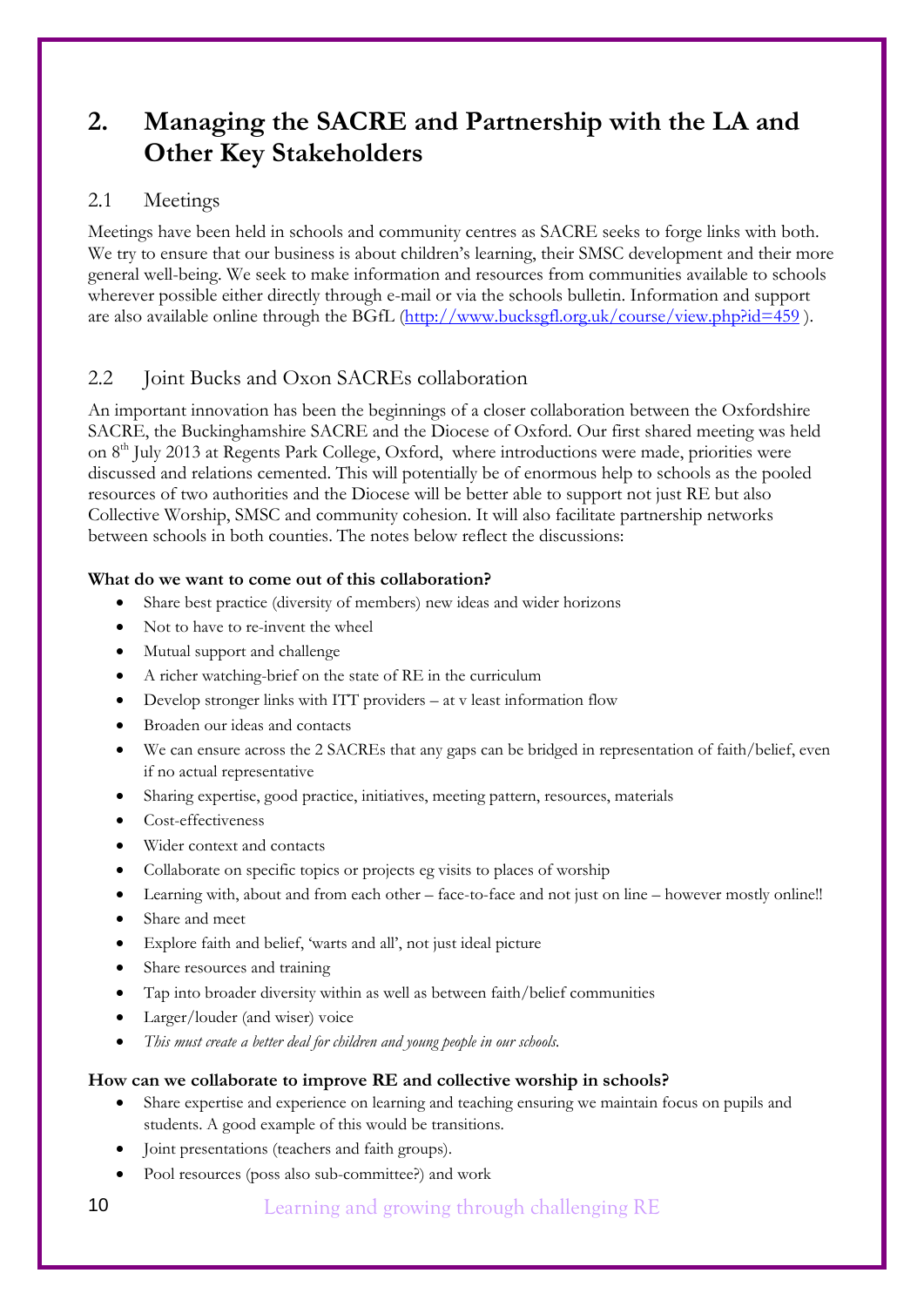## **2. Managing the SACRE and Partnership with the LA and Other Key Stakeholders**

## 2.1 Meetings

Meetings have been held in schools and community centres as SACRE seeks to forge links with both. We try to ensure that our business is about children's learning, their SMSC development and their more general well-being. We seek to make information and resources from communities available to schools wherever possible either directly through e-mail or via the schools bulletin. Information and support are also available online through the BGfL (http://www.bucksgfl.org.uk/course/view.php?id=459 ).

## 2.2 Joint Bucks and Oxon SACREs collaboration

An important innovation has been the beginnings of a closer collaboration between the Oxfordshire SACRE, the Buckinghamshire SACRE and the Diocese of Oxford. Our first shared meeting was held on 8<sup>th</sup> July 2013 at Regents Park College, Oxford, where introductions were made, priorities were discussed and relations cemented. This will potentially be of enormous help to schools as the pooled resources of two authorities and the Diocese will be better able to support not just RE but also Collective Worship, SMSC and community cohesion. It will also facilitate partnership networks between schools in both counties. The notes below reflect the discussions:

### **What do we want to come out of this collaboration?**

- Share best practice (diversity of members) new ideas and wider horizons
- Not to have to re-invent the wheel
- Mutual support and challenge
- A richer watching-brief on the state of RE in the curriculum
- Develop stronger links with ITT providers at v least information flow
- Broaden our ideas and contacts
- We can ensure across the 2 SACREs that any gaps can be bridged in representation of faith/belief, even if no actual representative
- Sharing expertise, good practice, initiatives, meeting pattern, resources, materials
- Cost-effectiveness
- Wider context and contacts
- Collaborate on specific topics or projects eg visits to places of worship
- Learning with, about and from each other face-to-face and not just on line however mostly online!!
- Share and meet
- Explore faith and belief, 'warts and all', not just ideal picture
- Share resources and training
- Tap into broader diversity within as well as between faith/belief communities
- Larger/louder (and wiser) voice
- *This must create a better deal for children and young people in our schools.*

### **How can we collaborate to improve RE and collective worship in schools?**

- Share expertise and experience on learning and teaching ensuring we maintain focus on pupils and students. A good example of this would be transitions.
- Joint presentations (teachers and faith groups).
- Pool resources (poss also sub-committee?) and work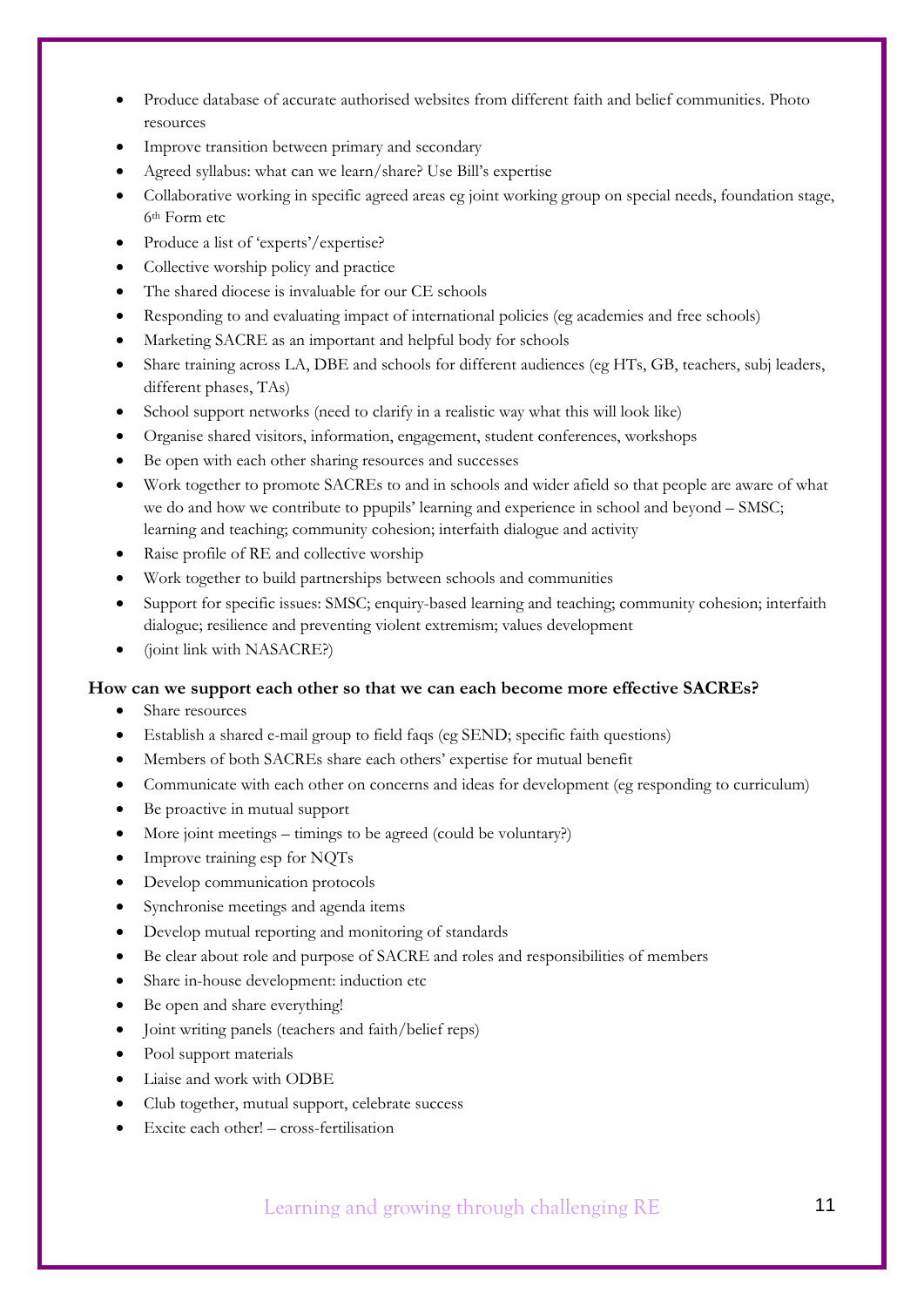- Produce database of accurate authorised websites from different faith and belief communities. Photo resources
- Improve transition between primary and secondary
- Agreed syllabus: what can we learn/share? Use Bill's expertise
- Collaborative working in specific agreed areas eg joint working group on special needs, foundation stage, 6th Form etc
- Produce a list of 'experts'/expertise?
- Collective worship policy and practice
- The shared diocese is invaluable for our CE schools
- Responding to and evaluating impact of international policies (eg academies and free schools)
- Marketing SACRE as an important and helpful body for schools
- Share training across LA, DBE and schools for different audiences (eg HTs, GB, teachers, subj leaders, different phases, TAs)
- School support networks (need to clarify in a realistic way what this will look like)
- Organise shared visitors, information, engagement, student conferences, workshops
- Be open with each other sharing resources and successes
- Work together to promote SACREs to and in schools and wider afield so that people are aware of what we do and how we contribute to ppupils' learning and experience in school and beyond – SMSC; learning and teaching; community cohesion; interfaith dialogue and activity
- Raise profile of RE and collective worship
- Work together to build partnerships between schools and communities
- Support for specific issues: SMSC; enquiry-based learning and teaching; community cohesion; interfaith dialogue; resilience and preventing violent extremism; values development
- (joint link with NASACRE?)

#### **How can we support each other so that we can each become more effective SACREs?**

- Share resources
- Establish a shared e-mail group to field faqs (eg SEND; specific faith questions)
- Members of both SACREs share each others' expertise for mutual benefit
- Communicate with each other on concerns and ideas for development (eg responding to curriculum)
- Be proactive in mutual support
- More joint meetings timings to be agreed (could be voluntary?)
- Improve training esp for NOTs
- Develop communication protocols
- Synchronise meetings and agenda items
- Develop mutual reporting and monitoring of standards
- Be clear about role and purpose of SACRE and roles and responsibilities of members
- Share in-house development: induction etc
- Be open and share everything!
- Joint writing panels (teachers and faith/belief reps)
- Pool support materials
- Liaise and work with ODBE
- Club together, mutual support, celebrate success
- Excite each other! cross-fertilisation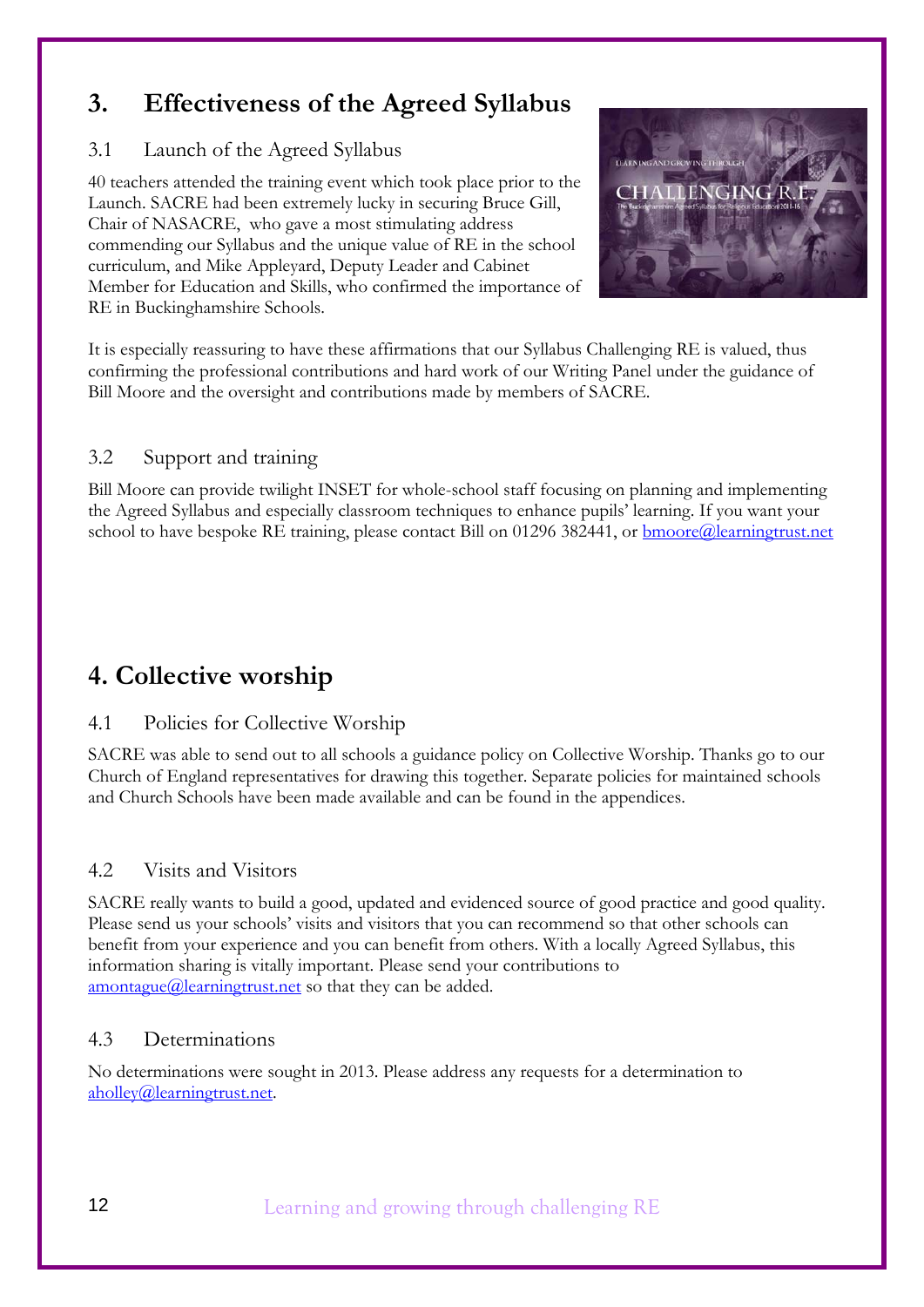## **3. Effectiveness of the Agreed Syllabus**

## 3.1 Launch of the Agreed Syllabus

40 teachers attended the training event which took place prior to the Launch. SACRE had been extremely lucky in securing Bruce Gill, Chair of NASACRE, who gave a most stimulating address commending our Syllabus and the unique value of RE in the school curriculum, and Mike Appleyard, Deputy Leader and Cabinet Member for Education and Skills, who confirmed the importance of RE in Buckinghamshire Schools.



It is especially reassuring to have these affirmations that our Syllabus Challenging RE is valued, thus confirming the professional contributions and hard work of our Writing Panel under the guidance of Bill Moore and the oversight and contributions made by members of SACRE.

## 3.2 Support and training

Bill Moore can provide twilight INSET for whole-school staff focusing on planning and implementing the Agreed Syllabus and especially classroom techniques to enhance pupils' learning. If you want your school to have bespoke RE training, please contact Bill on 01296 382441, or **bmoore@learningtrust.net** 

## **4. Collective worship**

## 4.1 Policies for Collective Worship

SACRE was able to send out to all schools a guidance policy on Collective Worship. Thanks go to our Church of England representatives for drawing this together. Separate policies for maintained schools and Church Schools have been made available and can be found in the appendices.

## 4.2 Visits and Visitors

SACRE really wants to build a good, updated and evidenced source of good practice and good quality. Please send us your schools' visits and visitors that you can recommend so that other schools can benefit from your experience and you can benefit from others. With a locally Agreed Syllabus, this information sharing is vitally important. Please send your contributions to amontague@learningtrust.net so that they can be added.

## 4.3 Determinations

No determinations were sought in 2013. Please address any requests for a determination to aholley@learningtrust.net.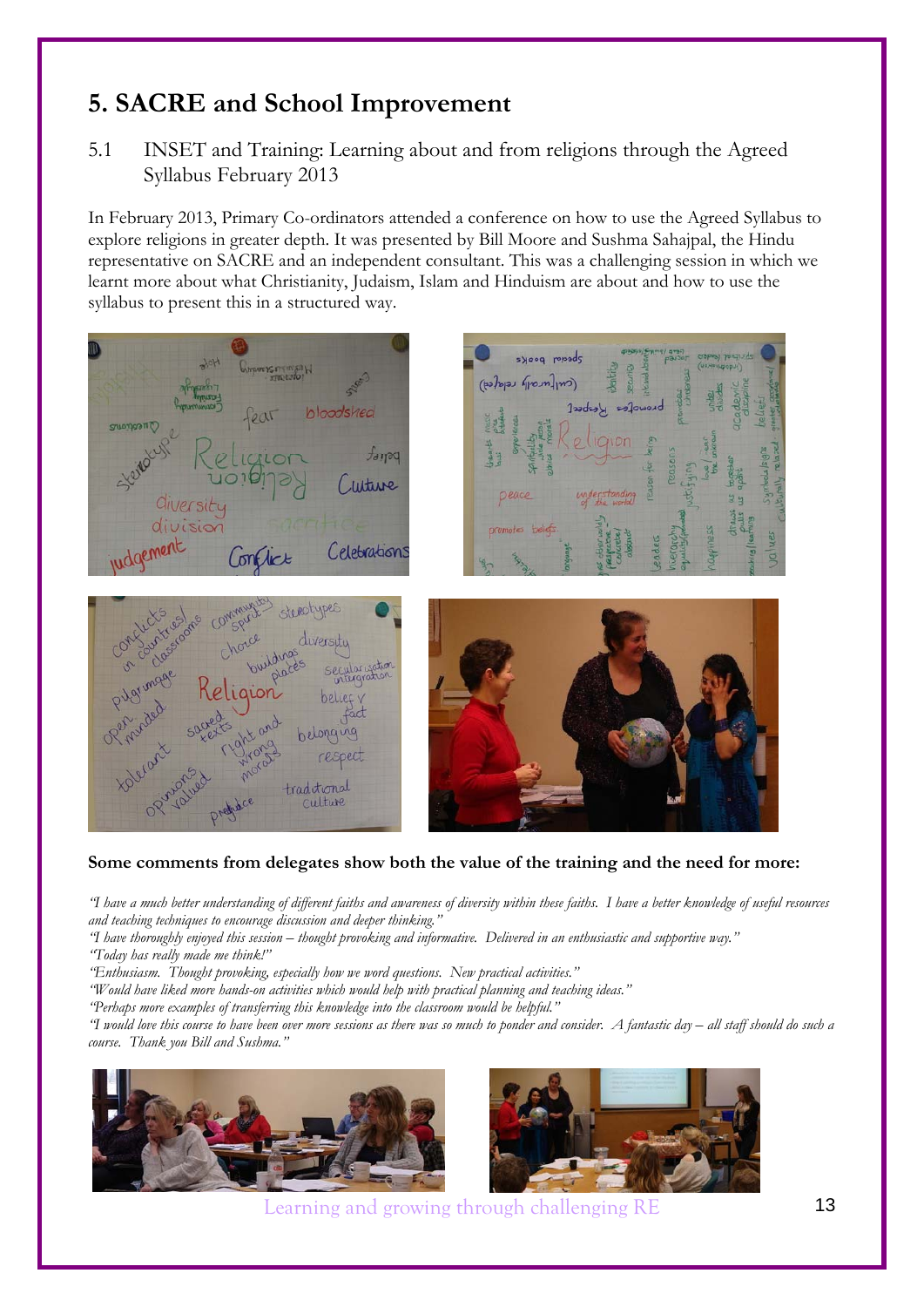## **5. SACRE and School Improvement**

5.1 INSET and Training: Learning about and from religions through the Agreed Syllabus February 2013

In February 2013, Primary Co-ordinators attended a conference on how to use the Agreed Syllabus to explore religions in greater depth. It was presented by Bill Moore and Sushma Sahajpal, the Hindu representative on SACRE and an independent consultant. This was a challenging session in which we learnt more about what Christianity, Judaism, Islam and Hinduism are about and how to use the syllabus to present this in a structured way.



#### **Some comments from delegates show both the value of the training and the need for more:**

*"I have a much better understanding of different faiths and awareness of diversity within these faiths. I have a better knowledge of useful resources and teaching techniques to encourage discussion and deeper thinking."* 

*"I have thoroughly enjoyed this session – thought provoking and informative. Delivered in an enthusiastic and supportive way." "Today has really made me think!"* 

*"Enthusiasm. Thought provoking, especially how we word questions. New practical activities."* 

*"Would have liked more hands-on activities which would help with practical planning and teaching ideas."* 

*"Perhaps more examples of transferring this knowledge into the classroom would be helpful."* 

*"I would love this course to have been over more sessions as there was so much to ponder and consider. A fantastic day – all staff should do such a course. Thank you Bill and Sushma."* 



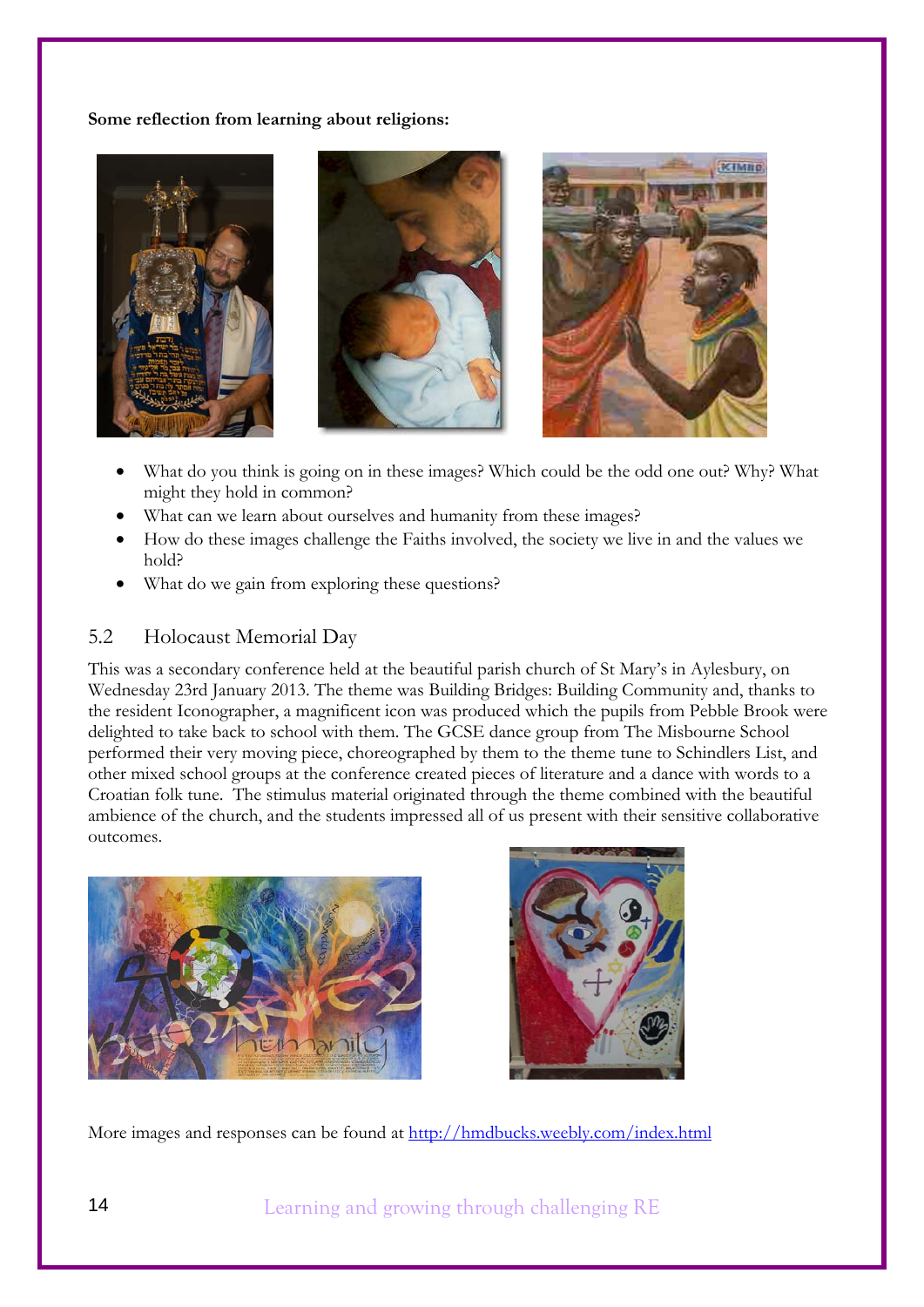**Some reflection from learning about religions:** 



- What do you think is going on in these images? Which could be the odd one out? Why? What might they hold in common?
- What can we learn about ourselves and humanity from these images?
- How do these images challenge the Faiths involved, the society we live in and the values we hold?
- What do we gain from exploring these questions?

### 5.2 Holocaust Memorial Day

This was a secondary conference held at the beautiful parish church of St Mary's in Aylesbury, on Wednesday 23rd January 2013. The theme was Building Bridges: Building Community and, thanks to the resident Iconographer, a magnificent icon was produced which the pupils from Pebble Brook were delighted to take back to school with them. The GCSE dance group from The Misbourne School performed their very moving piece, choreographed by them to the theme tune to Schindlers List, and other mixed school groups at the conference created pieces of literature and a dance with words to a Croatian folk tune. The stimulus material originated through the theme combined with the beautiful ambience of the church, and the students impressed all of us present with their sensitive collaborative outcomes.





More images and responses can be found at http://hmdbucks.weebly.com/index.html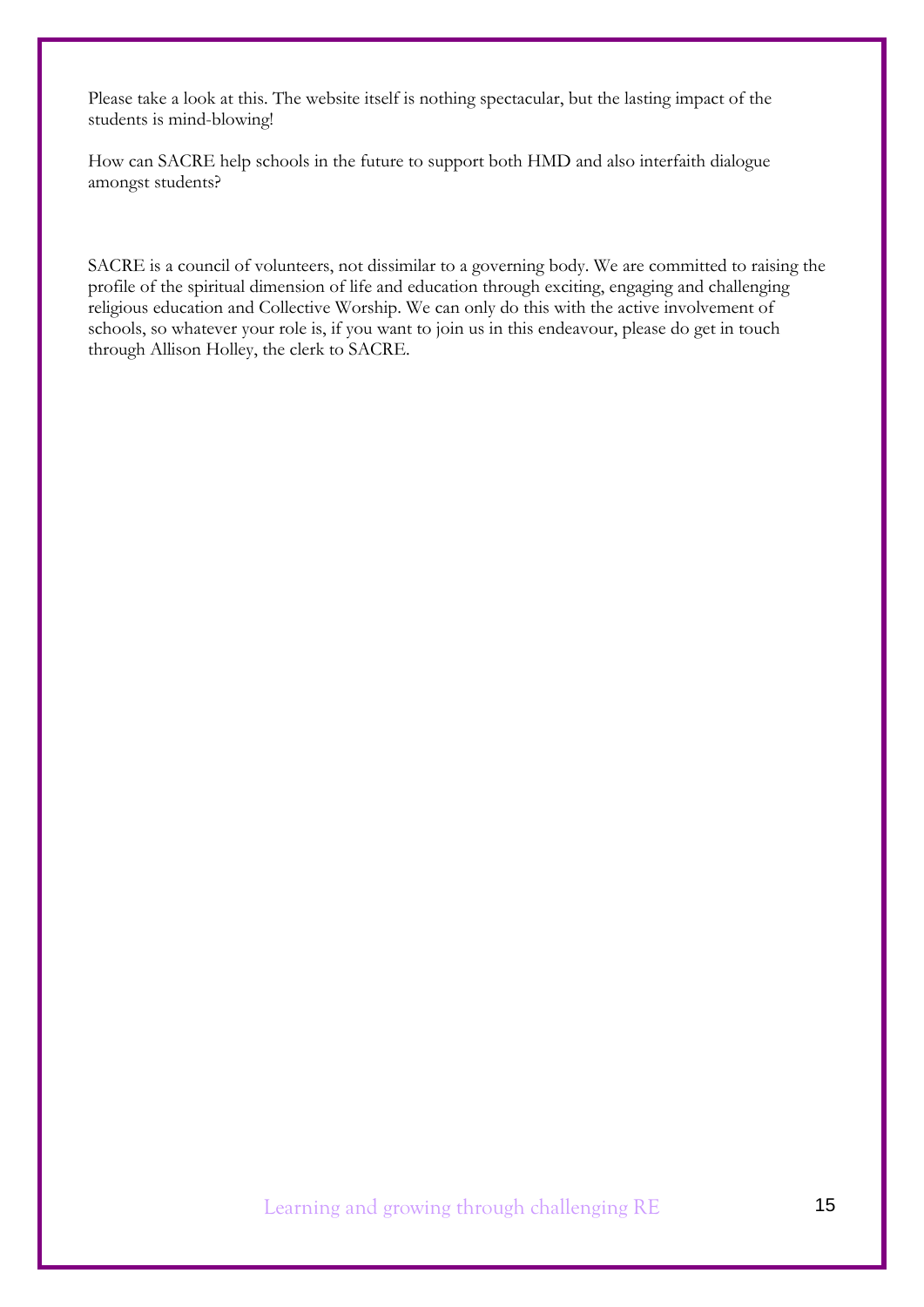Please take a look at this. The website itself is nothing spectacular, but the lasting impact of the students is mind-blowing!

How can SACRE help schools in the future to support both HMD and also interfaith dialogue amongst students?

SACRE is a council of volunteers, not dissimilar to a governing body. We are committed to raising the profile of the spiritual dimension of life and education through exciting, engaging and challenging religious education and Collective Worship. We can only do this with the active involvement of schools, so whatever your role is, if you want to join us in this endeavour, please do get in touch through Allison Holley, the clerk to SACRE.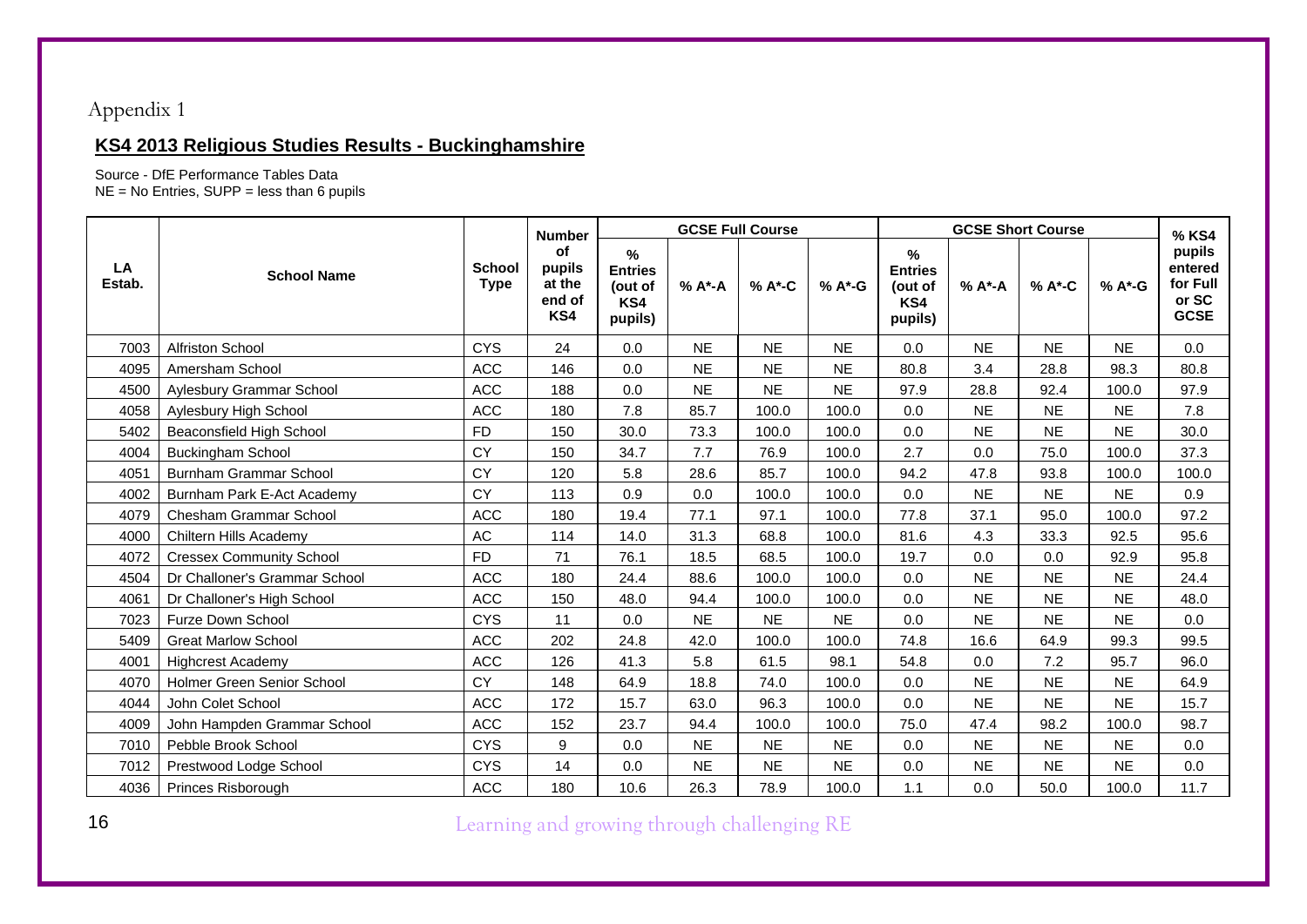## Appendix 1

## **KS4 2013 Religious Studies Results - Buckinghamshire**

Source - DfE Performance Tables Data

NE = No Entries, SUPP = less than 6 pupils

|              |                                 |                              | <b>Number</b>                                  |                                                  |           | <b>GCSE Full Course</b> |           |                                                  |           | % KS4     |           |                                                       |
|--------------|---------------------------------|------------------------------|------------------------------------------------|--------------------------------------------------|-----------|-------------------------|-----------|--------------------------------------------------|-----------|-----------|-----------|-------------------------------------------------------|
| LA<br>Estab. | <b>School Name</b>              | <b>School</b><br><b>Type</b> | <b>of</b><br>pupils<br>at the<br>end of<br>KS4 | %<br><b>Entries</b><br>(out of<br>KS4<br>pupils) | % A*-A    | % A*-C                  | % A*-G    | %<br><b>Entries</b><br>(out of<br>KS4<br>pupils) | % A*-A    | % A*-C    | % A*-G    | pupils<br>entered<br>for Full<br>or SC<br><b>GCSE</b> |
| 7003         | Alfriston School                | <b>CYS</b>                   | 24                                             | 0.0                                              | <b>NE</b> | <b>NE</b>               | <b>NE</b> | 0.0                                              | <b>NE</b> | <b>NE</b> | <b>NE</b> | 0.0                                                   |
| 4095         | Amersham School                 | <b>ACC</b>                   | 146                                            | 0.0                                              | <b>NE</b> | <b>NE</b>               | <b>NE</b> | 80.8                                             | 3.4       | 28.8      | 98.3      | 80.8                                                  |
| 4500         | Aylesbury Grammar School        | <b>ACC</b>                   | 188                                            | 0.0                                              | <b>NE</b> | <b>NE</b>               | <b>NE</b> | 97.9                                             | 28.8      | 92.4      | 100.0     | 97.9                                                  |
| 4058         | Aylesbury High School           | <b>ACC</b>                   | 180                                            | 7.8                                              | 85.7      | 100.0                   | 100.0     | 0.0                                              | <b>NE</b> | <b>NE</b> | <b>NE</b> | 7.8                                                   |
| 5402         | Beaconsfield High School        | FD.                          | 150                                            | 30.0                                             | 73.3      | 100.0                   | 100.0     | 0.0                                              | <b>NE</b> | <b>NE</b> | <b>NE</b> | 30.0                                                  |
| 4004         | <b>Buckingham School</b>        | CY                           | 150                                            | 34.7                                             | 7.7       | 76.9                    | 100.0     | 2.7                                              | 0.0       | 75.0      | 100.0     | 37.3                                                  |
| 4051         | <b>Burnham Grammar School</b>   | CY                           | 120                                            | 5.8                                              | 28.6      | 85.7                    | 100.0     | 94.2                                             | 47.8      | 93.8      | 100.0     | 100.0                                                 |
| 4002         | Burnham Park E-Act Academy      | CY                           | 113                                            | 0.9                                              | 0.0       | 100.0                   | 100.0     | 0.0                                              | <b>NE</b> | <b>NE</b> | <b>NE</b> | 0.9                                                   |
| 4079         | Chesham Grammar School          | <b>ACC</b>                   | 180                                            | 19.4                                             | 77.1      | 97.1                    | 100.0     | 77.8                                             | 37.1      | 95.0      | 100.0     | 97.2                                                  |
| 4000         | Chiltern Hills Academy          | $\mathsf{AC}$                | 114                                            | 14.0                                             | 31.3      | 68.8                    | 100.0     | 81.6                                             | 4.3       | 33.3      | 92.5      | 95.6                                                  |
| 4072         | <b>Cressex Community School</b> | <b>FD</b>                    | 71                                             | 76.1                                             | 18.5      | 68.5                    | 100.0     | 19.7                                             | 0.0       | 0.0       | 92.9      | 95.8                                                  |
| 4504         | Dr Challoner's Grammar School   | <b>ACC</b>                   | 180                                            | 24.4                                             | 88.6      | 100.0                   | 100.0     | 0.0                                              | <b>NE</b> | <b>NE</b> | <b>NE</b> | 24.4                                                  |
| 4061         | Dr Challoner's High School      | <b>ACC</b>                   | 150                                            | 48.0                                             | 94.4      | 100.0                   | 100.0     | 0.0                                              | <b>NE</b> | <b>NE</b> | <b>NE</b> | 48.0                                                  |
| 7023         | Furze Down School               | <b>CYS</b>                   | 11                                             | 0.0                                              | <b>NE</b> | <b>NE</b>               | <b>NE</b> | 0.0                                              | <b>NE</b> | <b>NE</b> | <b>NE</b> | 0.0                                                   |
| 5409         | <b>Great Marlow School</b>      | <b>ACC</b>                   | 202                                            | 24.8                                             | 42.0      | 100.0                   | 100.0     | 74.8                                             | 16.6      | 64.9      | 99.3      | 99.5                                                  |
| 4001         | <b>Highcrest Academy</b>        | <b>ACC</b>                   | 126                                            | 41.3                                             | 5.8       | 61.5                    | 98.1      | 54.8                                             | 0.0       | 7.2       | 95.7      | 96.0                                                  |
| 4070         | Holmer Green Senior School      | <b>CY</b>                    | 148                                            | 64.9                                             | 18.8      | 74.0                    | 100.0     | 0.0                                              | <b>NE</b> | <b>NE</b> | <b>NE</b> | 64.9                                                  |
| 4044         | John Colet School               | <b>ACC</b>                   | 172                                            | 15.7                                             | 63.0      | 96.3                    | 100.0     | 0.0                                              | <b>NE</b> | <b>NE</b> | <b>NE</b> | 15.7                                                  |
| 4009         | John Hampden Grammar School     | <b>ACC</b>                   | 152                                            | 23.7                                             | 94.4      | 100.0                   | 100.0     | 75.0                                             | 47.4      | 98.2      | 100.0     | 98.7                                                  |
| 7010         | Pebble Brook School             | <b>CYS</b>                   | 9                                              | 0.0                                              | <b>NE</b> | <b>NE</b>               | <b>NE</b> | 0.0                                              | <b>NE</b> | <b>NE</b> | <b>NE</b> | 0.0                                                   |
| 7012         | Prestwood Lodge School          | <b>CYS</b>                   | 14                                             | 0.0                                              | <b>NE</b> | <b>NE</b>               | <b>NE</b> | 0.0                                              | <b>NE</b> | <b>NE</b> | <b>NE</b> | 0.0                                                   |
| 4036         | Princes Risborough              | <b>ACC</b>                   | 180                                            | 10.6                                             | 26.3      | 78.9                    | 100.0     | 1.1                                              | 0.0       | 50.0      | 100.0     | 11.7                                                  |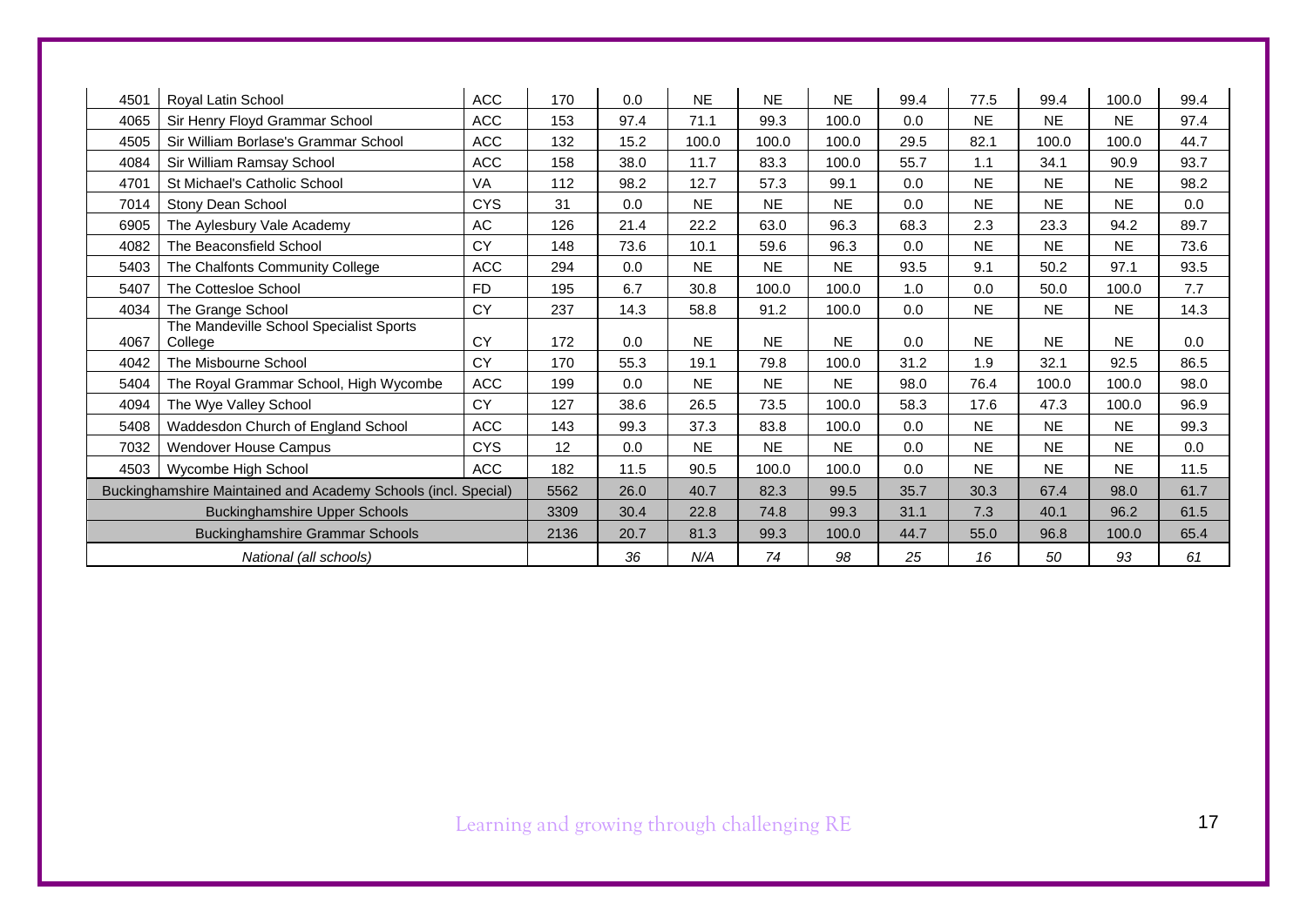| 4501                                   | Royal Latin School                                             | <b>ACC</b> | 170  | 0.0  | <b>NE</b> | <b>NE</b> | <b>NE</b> | 99.4 | 77.5      | 99.4      | 100.0     | 99.4 |
|----------------------------------------|----------------------------------------------------------------|------------|------|------|-----------|-----------|-----------|------|-----------|-----------|-----------|------|
| 4065                                   | Sir Henry Floyd Grammar School                                 | <b>ACC</b> | 153  | 97.4 | 71.1      | 99.3      | 100.0     | 0.0  | <b>NE</b> | <b>NE</b> | <b>NE</b> | 97.4 |
| 4505                                   | Sir William Borlase's Grammar School                           | <b>ACC</b> | 132  | 15.2 | 100.0     | 100.0     | 100.0     | 29.5 | 82.1      | 100.0     | 100.0     | 44.7 |
| 4084                                   | Sir William Ramsay School                                      | <b>ACC</b> | 158  | 38.0 | 11.7      | 83.3      | 100.0     | 55.7 | 1.1       | 34.1      | 90.9      | 93.7 |
| 4701                                   | St Michael's Catholic School                                   | VA         | 112  | 98.2 | 12.7      | 57.3      | 99.1      | 0.0  | <b>NE</b> | <b>NE</b> | <b>NE</b> | 98.2 |
| 7014                                   | Stony Dean School                                              | <b>CYS</b> | 31   | 0.0  | <b>NE</b> | <b>NE</b> | <b>NE</b> | 0.0  | <b>NE</b> | <b>NE</b> | <b>NE</b> | 0.0  |
| 6905                                   | The Aylesbury Vale Academy                                     | AC         | 126  | 21.4 | 22.2      | 63.0      | 96.3      | 68.3 | 2.3       | 23.3      | 94.2      | 89.7 |
| 4082                                   | The Beaconsfield School                                        | CY         | 148  | 73.6 | 10.1      | 59.6      | 96.3      | 0.0  | <b>NE</b> | <b>NE</b> | <b>NE</b> | 73.6 |
| 5403                                   | The Chalfonts Community College                                | ACC        | 294  | 0.0  | <b>NE</b> | <b>NE</b> | <b>NE</b> | 93.5 | 9.1       | 50.2      | 97.1      | 93.5 |
| 5407                                   | The Cottesloe School                                           | <b>FD</b>  | 195  | 6.7  | 30.8      | 100.0     | 100.0     | 1.0  | 0.0       | 50.0      | 100.0     | 7.7  |
| 4034                                   | The Grange School                                              | <b>CY</b>  | 237  | 14.3 | 58.8      | 91.2      | 100.0     | 0.0  | <b>NE</b> | <b>NE</b> | <b>NE</b> | 14.3 |
| 4067                                   | The Mandeville School Specialist Sports<br>College             | <b>CY</b>  | 172  | 0.0  | <b>NE</b> | <b>NE</b> | <b>NE</b> | 0.0  | <b>NE</b> | <b>NE</b> | <b>NE</b> | 0.0  |
| 4042                                   | The Misbourne School                                           | CY         | 170  | 55.3 | 19.1      | 79.8      | 100.0     | 31.2 | 1.9       | 32.1      | 92.5      | 86.5 |
| 5404                                   | The Royal Grammar School, High Wycombe                         | <b>ACC</b> | 199  | 0.0  | <b>NE</b> | <b>NE</b> | <b>NE</b> | 98.0 | 76.4      | 100.0     | 100.0     | 98.0 |
| 4094                                   | The Wye Valley School                                          | <b>CY</b>  | 127  | 38.6 | 26.5      | 73.5      | 100.0     | 58.3 | 17.6      | 47.3      | 100.0     | 96.9 |
| 5408                                   | Waddesdon Church of England School                             | <b>ACC</b> | 143  | 99.3 | 37.3      | 83.8      | 100.0     | 0.0  | <b>NE</b> | <b>NE</b> | <b>NE</b> | 99.3 |
| 7032                                   | Wendover House Campus                                          | <b>CYS</b> | 12   | 0.0  | <b>NE</b> | <b>NE</b> | <b>NE</b> | 0.0  | <b>NE</b> | <b>NE</b> | <b>NE</b> | 0.0  |
| 4503                                   | Wycombe High School                                            | <b>ACC</b> | 182  | 11.5 | 90.5      | 100.0     | 100.0     | 0.0  | <b>NE</b> | <b>NE</b> | <b>NE</b> | 11.5 |
|                                        | Buckinghamshire Maintained and Academy Schools (incl. Special) |            |      | 26.0 | 40.7      | 82.3      | 99.5      | 35.7 | 30.3      | 67.4      | 98.0      | 61.7 |
| <b>Buckinghamshire Upper Schools</b>   |                                                                |            | 3309 | 30.4 | 22.8      | 74.8      | 99.3      | 31.1 | 7.3       | 40.1      | 96.2      | 61.5 |
| <b>Buckinghamshire Grammar Schools</b> |                                                                |            | 2136 | 20.7 | 81.3      | 99.3      | 100.0     | 44.7 | 55.0      | 96.8      | 100.0     | 65.4 |
| National (all schools)                 |                                                                |            |      | 36   | N/A       | 74        | 98        | 25   | 16        | 50        | 93        | 61   |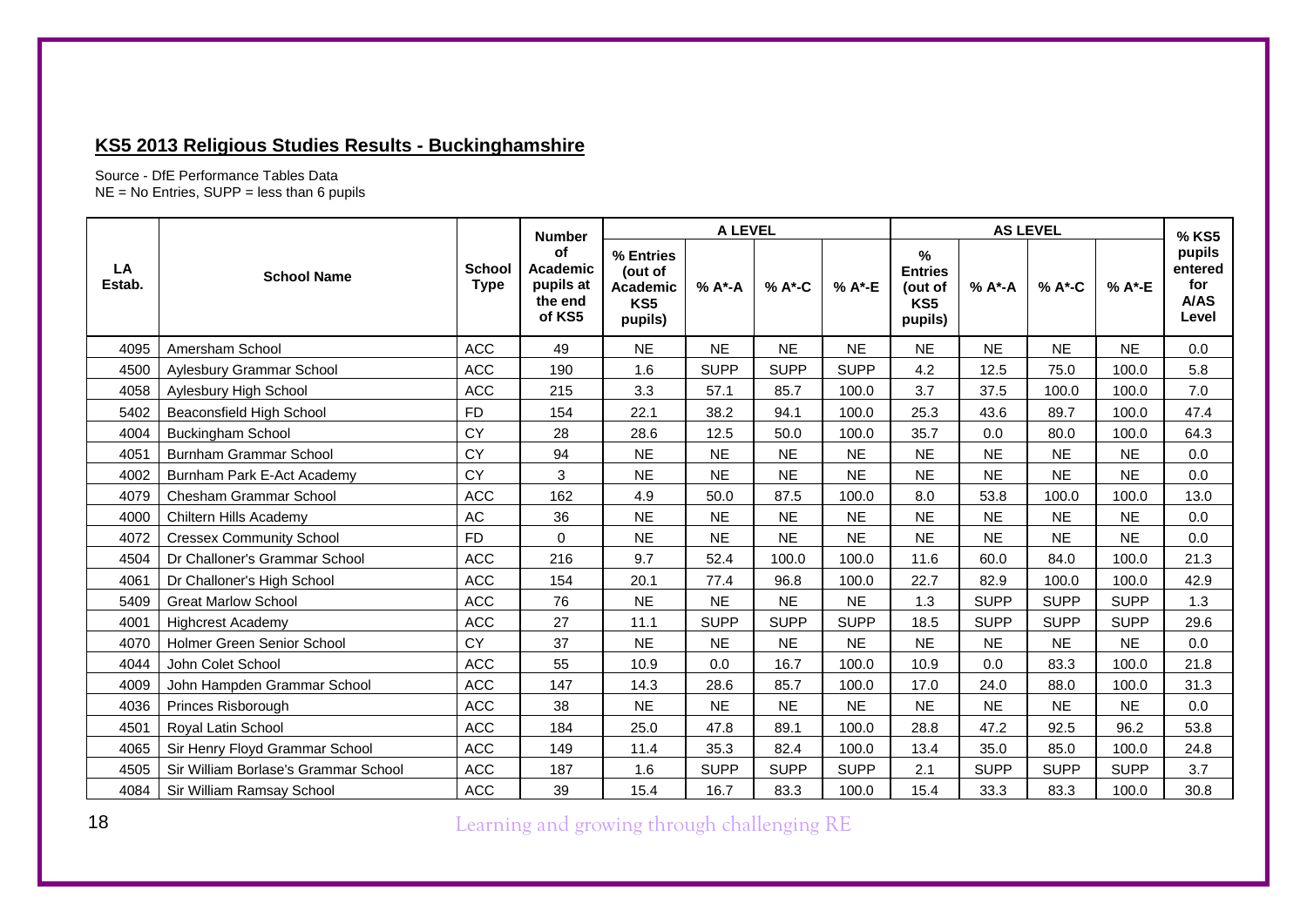### **KS5 2013 Religious Studies Results - Buckinghamshire**

Source - DfE Performance Tables Data NE = No Entries, SUPP = less than 6 pupils

|              |                                      |                              | <b>Number</b>                                    |                                                           | A LEVEL     |             |             |                                                     | <b>AS LEVEL</b> |             |             | % KS5                                            |
|--------------|--------------------------------------|------------------------------|--------------------------------------------------|-----------------------------------------------------------|-------------|-------------|-------------|-----------------------------------------------------|-----------------|-------------|-------------|--------------------------------------------------|
| LA<br>Estab. | <b>School Name</b>                   | <b>School</b><br><b>Type</b> | of<br>Academic<br>pupils at<br>the end<br>of KS5 | % Entries<br>(out of<br><b>Academic</b><br>KS5<br>pupils) | % A*-A      | % A*-C      | % A*-E      | $\%$<br><b>Entries</b><br>(out of<br>KS5<br>pupils) | % A*-A          | % A*-C      | % A*-E      | pupils<br>entered<br>for<br><b>A/AS</b><br>Level |
| 4095         | Amersham School                      | <b>ACC</b>                   | 49                                               | <b>NE</b>                                                 | <b>NE</b>   | <b>NE</b>   | <b>NE</b>   | <b>NE</b>                                           | <b>NE</b>       | <b>NE</b>   | <b>NE</b>   | 0.0                                              |
| 4500         | Aylesbury Grammar School             | <b>ACC</b>                   | 190                                              | 1.6                                                       | <b>SUPP</b> | <b>SUPP</b> | <b>SUPP</b> | 4.2                                                 | 12.5            | 75.0        | 100.0       | 5.8                                              |
| 4058         | Aylesbury High School                | <b>ACC</b>                   | 215                                              | 3.3                                                       | 57.1        | 85.7        | 100.0       | 3.7                                                 | 37.5            | 100.0       | 100.0       | 7.0                                              |
| 5402         | <b>Beaconsfield High School</b>      | <b>FD</b>                    | 154                                              | 22.1                                                      | 38.2        | 94.1        | 100.0       | 25.3                                                | 43.6            | 89.7        | 100.0       | 47.4                                             |
| 4004         | <b>Buckingham School</b>             | <b>CY</b>                    | 28                                               | 28.6                                                      | 12.5        | 50.0        | 100.0       | 35.7                                                | 0.0             | 80.0        | 100.0       | 64.3                                             |
| 4051         | Burnham Grammar School               | <b>CY</b>                    | 94                                               | <b>NE</b>                                                 | <b>NE</b>   | <b>NE</b>   | <b>NE</b>   | <b>NE</b>                                           | <b>NE</b>       | <b>NE</b>   | <b>NE</b>   | 0.0                                              |
| 4002         | Burnham Park E-Act Academy           | CY                           | 3                                                | <b>NE</b>                                                 | <b>NE</b>   | <b>NE</b>   | <b>NE</b>   | <b>NE</b>                                           | <b>NE</b>       | <b>NE</b>   | <b>NE</b>   | 0.0                                              |
| 4079         | <b>Chesham Grammar School</b>        | ACC                          | 162                                              | 4.9                                                       | 50.0        | 87.5        | 100.0       | 8.0                                                 | 53.8            | 100.0       | 100.0       | 13.0                                             |
| 4000         | Chiltern Hills Academy               | AC                           | 36                                               | <b>NE</b>                                                 | <b>NE</b>   | <b>NE</b>   | <b>NE</b>   | <b>NE</b>                                           | <b>NE</b>       | <b>NE</b>   | <b>NE</b>   | 0.0                                              |
| 4072         | <b>Cressex Community School</b>      | <b>FD</b>                    | $\Omega$                                         | <b>NE</b>                                                 | <b>NE</b>   | <b>NE</b>   | <b>NE</b>   | <b>NE</b>                                           | <b>NE</b>       | <b>NE</b>   | <b>NE</b>   | 0.0                                              |
| 4504         | Dr Challoner's Grammar School        | <b>ACC</b>                   | 216                                              | 9.7                                                       | 52.4        | 100.0       | 100.0       | 11.6                                                | 60.0            | 84.0        | 100.0       | 21.3                                             |
| 4061         | Dr Challoner's High School           | <b>ACC</b>                   | 154                                              | 20.1                                                      | 77.4        | 96.8        | 100.0       | 22.7                                                | 82.9            | 100.0       | 100.0       | 42.9                                             |
| 5409         | <b>Great Marlow School</b>           | <b>ACC</b>                   | 76                                               | <b>NE</b>                                                 | <b>NE</b>   | <b>NE</b>   | <b>NE</b>   | 1.3                                                 | <b>SUPP</b>     | <b>SUPP</b> | <b>SUPP</b> | 1.3                                              |
| 4001         | <b>Highcrest Academy</b>             | ACC                          | 27                                               | 11.1                                                      | <b>SUPP</b> | <b>SUPP</b> | <b>SUPP</b> | 18.5                                                | <b>SUPP</b>     | <b>SUPP</b> | <b>SUPP</b> | 29.6                                             |
| 4070         | Holmer Green Senior School           | CY                           | 37                                               | <b>NE</b>                                                 | <b>NE</b>   | <b>NE</b>   | <b>NE</b>   | <b>NE</b>                                           | <b>NE</b>       | <b>NE</b>   | <b>NE</b>   | 0.0                                              |
| 4044         | John Colet School                    | <b>ACC</b>                   | 55                                               | 10.9                                                      | 0.0         | 16.7        | 100.0       | 10.9                                                | 0.0             | 83.3        | 100.0       | 21.8                                             |
| 4009         | John Hampden Grammar School          | <b>ACC</b>                   | 147                                              | 14.3                                                      | 28.6        | 85.7        | 100.0       | 17.0                                                | 24.0            | 88.0        | 100.0       | 31.3                                             |
| 4036         | Princes Risborough                   | <b>ACC</b>                   | 38                                               | <b>NE</b>                                                 | <b>NE</b>   | <b>NE</b>   | <b>NE</b>   | <b>NE</b>                                           | <b>NE</b>       | <b>NE</b>   | <b>NE</b>   | 0.0                                              |
| 4501         | Royal Latin School                   | <b>ACC</b>                   | 184                                              | 25.0                                                      | 47.8        | 89.1        | 100.0       | 28.8                                                | 47.2            | 92.5        | 96.2        | 53.8                                             |
| 4065         | Sir Henry Floyd Grammar School       | <b>ACC</b>                   | 149                                              | 11.4                                                      | 35.3        | 82.4        | 100.0       | 13.4                                                | 35.0            | 85.0        | 100.0       | 24.8                                             |
| 4505         | Sir William Borlase's Grammar School | <b>ACC</b>                   | 187                                              | 1.6                                                       | <b>SUPP</b> | <b>SUPP</b> | <b>SUPP</b> | 2.1                                                 | <b>SUPP</b>     | <b>SUPP</b> | <b>SUPP</b> | 3.7                                              |
| 4084         | Sir William Ramsay School            | <b>ACC</b>                   | 39                                               | 15.4                                                      | 16.7        | 83.3        | 100.0       | 15.4                                                | 33.3            | 83.3        | 100.0       | 30.8                                             |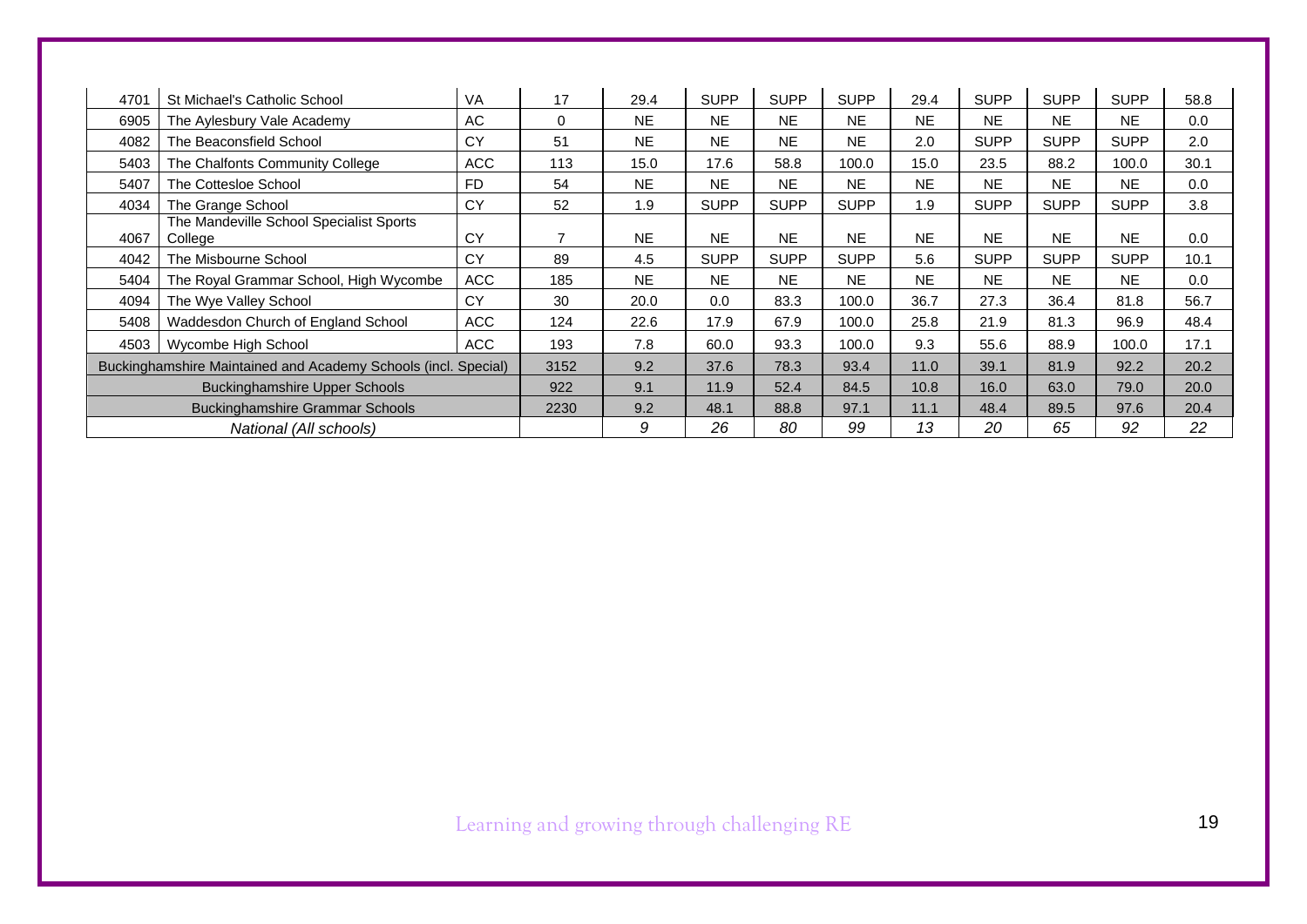| 4701                   | St Michael's Catholic School                                   | VA         | 17             | 29.4      | <b>SUPP</b> | <b>SUPP</b> | <b>SUPP</b> | 29.4      | <b>SUPP</b> | <b>SUPP</b> | <b>SUPP</b> | 58.8 |
|------------------------|----------------------------------------------------------------|------------|----------------|-----------|-------------|-------------|-------------|-----------|-------------|-------------|-------------|------|
| 6905                   | The Aylesbury Vale Academy                                     | AC         | 0              | <b>NE</b> | <b>NE</b>   | <b>NE</b>   | <b>NE</b>   | <b>NE</b> | <b>NE</b>   | <b>NE</b>   | <b>NE</b>   | 0.0  |
| 4082                   | The Beaconsfield School                                        | CY         | 51             | <b>NE</b> | <b>NE</b>   | <b>NE</b>   | <b>NE</b>   | 2.0       | <b>SUPP</b> | <b>SUPP</b> | <b>SUPP</b> | 2.0  |
| 5403                   | The Chalfonts Community College                                | <b>ACC</b> | 113            | 15.0      | 17.6        | 58.8        | 100.0       | 15.0      | 23.5        | 88.2        | 100.0       | 30.1 |
| 5407                   | The Cottesloe School                                           | <b>FD</b>  | 54             | <b>NE</b> | <b>NE</b>   | <b>NE</b>   | <b>NE</b>   | <b>NE</b> | <b>NE</b>   | <b>NE</b>   | NE.         | 0.0  |
| 4034                   | The Grange School                                              | CY         | 52             | 1.9       | <b>SUPP</b> | <b>SUPP</b> | <b>SUPP</b> | 1.9       | <b>SUPP</b> | <b>SUPP</b> | <b>SUPP</b> | 3.8  |
| 4067                   | The Mandeville School Specialist Sports<br>College             | CY         | $\overline{ }$ | <b>NE</b> | <b>NE</b>   | <b>NE</b>   | <b>NE</b>   | <b>NE</b> | NE.         | <b>NE</b>   | <b>NE</b>   | 0.0  |
| 4042                   | The Misbourne School                                           | CY         | 89             | 4.5       | <b>SUPP</b> | <b>SUPP</b> | <b>SUPP</b> | 5.6       | <b>SUPP</b> | <b>SUPP</b> | <b>SUPP</b> | 10.1 |
| 5404                   | The Royal Grammar School, High Wycombe                         | <b>ACC</b> | 185            | <b>NE</b> | <b>NE</b>   | <b>NE</b>   | <b>NE</b>   | <b>NE</b> | <b>NE</b>   | <b>NE</b>   | <b>NE</b>   | 0.0  |
| 4094                   | The Wye Valley School                                          | CY         | 30             | 20.0      | 0.0         | 83.3        | 100.0       | 36.7      | 27.3        | 36.4        | 81.8        | 56.7 |
| 5408                   | Waddesdon Church of England School                             | <b>ACC</b> | 124            | 22.6      | 17.9        | 67.9        | 100.0       | 25.8      | 21.9        | 81.3        | 96.9        | 48.4 |
| 4503                   | Wycombe High School                                            | <b>ACC</b> | 193            | 7.8       | 60.0        | 93.3        | 100.0       | 9.3       | 55.6        | 88.9        | 100.0       | 17.1 |
|                        | Buckinghamshire Maintained and Academy Schools (incl. Special) |            | 3152           | 9.2       | 37.6        | 78.3        | 93.4        | 11.0      | 39.1        | 81.9        | 92.2        | 20.2 |
|                        | <b>Buckinghamshire Upper Schools</b>                           |            | 922            | 9.1       | 11.9        | 52.4        | 84.5        | 10.8      | 16.0        | 63.0        | 79.0        | 20.0 |
|                        | <b>Buckinghamshire Grammar Schools</b>                         |            |                | 9.2       | 48.1        | 88.8        | 97.1        | 11.1      | 48.4        | 89.5        | 97.6        | 20.4 |
| National (All schools) |                                                                |            |                | 9         | 26          | 80          | 99          | 13        | 20          | 65          | 92          | 22   |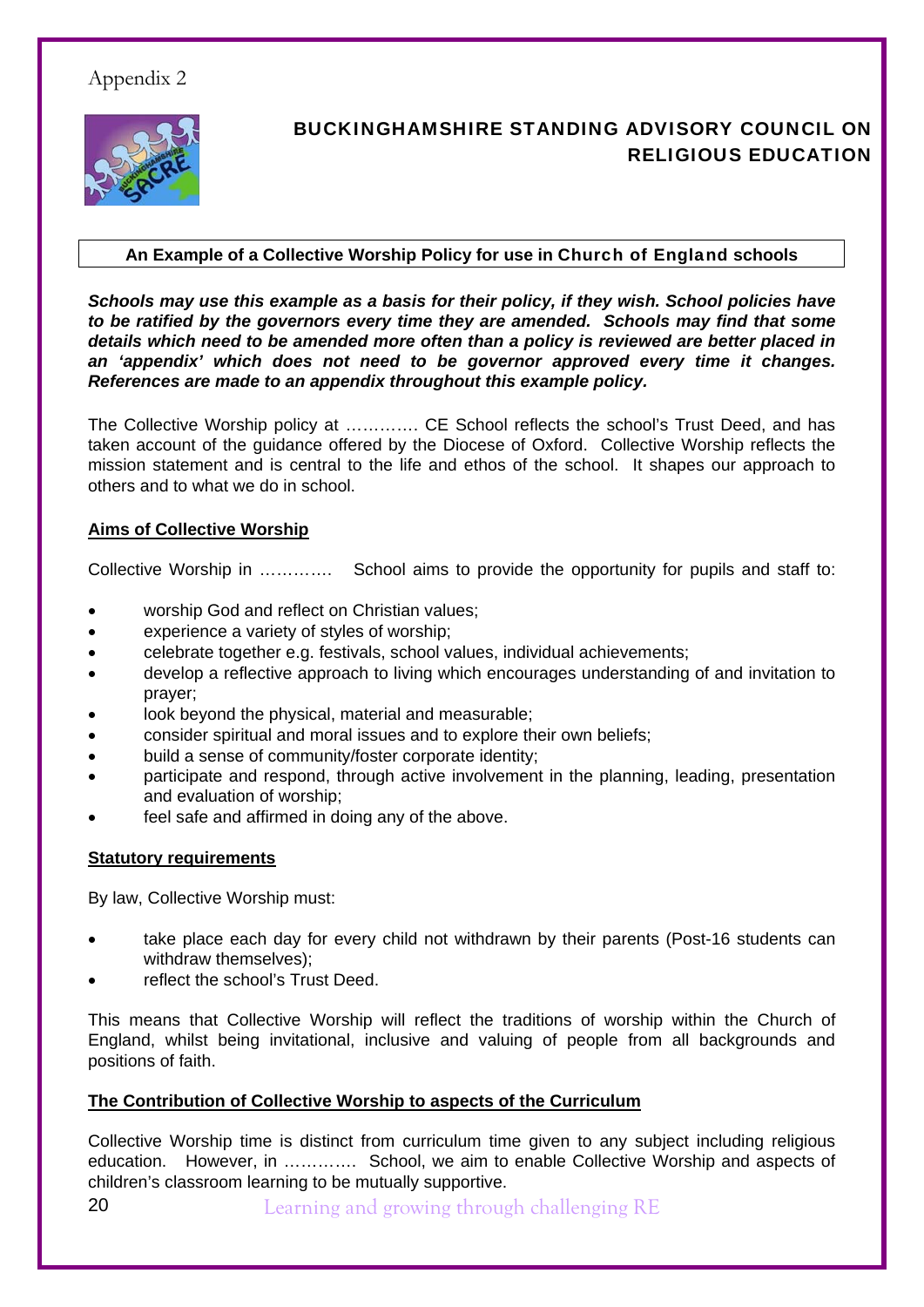## Appendix 2



## BUCKINGHAMSHIRE STANDING ADVISORY COUNCIL ON RELIGIOUS EDUCATION

### **An Example of a Collective Worship Policy for use in** Church of England **schools**

*Schools may use this example as a basis for their policy, if they wish. School policies have to be ratified by the governors every time they are amended. Schools may find that some details which need to be amended more often than a policy is reviewed are better placed in an 'appendix' which does not need to be governor approved every time it changes. References are made to an appendix throughout this example policy.* 

The Collective Worship policy at …………. CE School reflects the school's Trust Deed, and has taken account of the guidance offered by the Diocese of Oxford. Collective Worship reflects the mission statement and is central to the life and ethos of the school. It shapes our approach to others and to what we do in school.

### **Aims of Collective Worship**

Collective Worship in …………. School aims to provide the opportunity for pupils and staff to:

- worship God and reflect on Christian values;
- experience a variety of styles of worship;
- celebrate together e.g. festivals, school values, individual achievements;
- develop a reflective approach to living which encourages understanding of and invitation to prayer;
- look beyond the physical, material and measurable;
- consider spiritual and moral issues and to explore their own beliefs;
- build a sense of community/foster corporate identity;
- participate and respond, through active involvement in the planning, leading, presentation and evaluation of worship;
- feel safe and affirmed in doing any of the above.

#### **Statutory requirements**

By law, Collective Worship must:

- take place each day for every child not withdrawn by their parents (Post-16 students can withdraw themselves);
- reflect the school's Trust Deed.

This means that Collective Worship will reflect the traditions of worship within the Church of England, whilst being invitational, inclusive and valuing of people from all backgrounds and positions of faith.

#### **The Contribution of Collective Worship to aspects of the Curriculum**

Collective Worship time is distinct from curriculum time given to any subject including religious education. However, in …………. School, we aim to enable Collective Worship and aspects of children's classroom learning to be mutually supportive.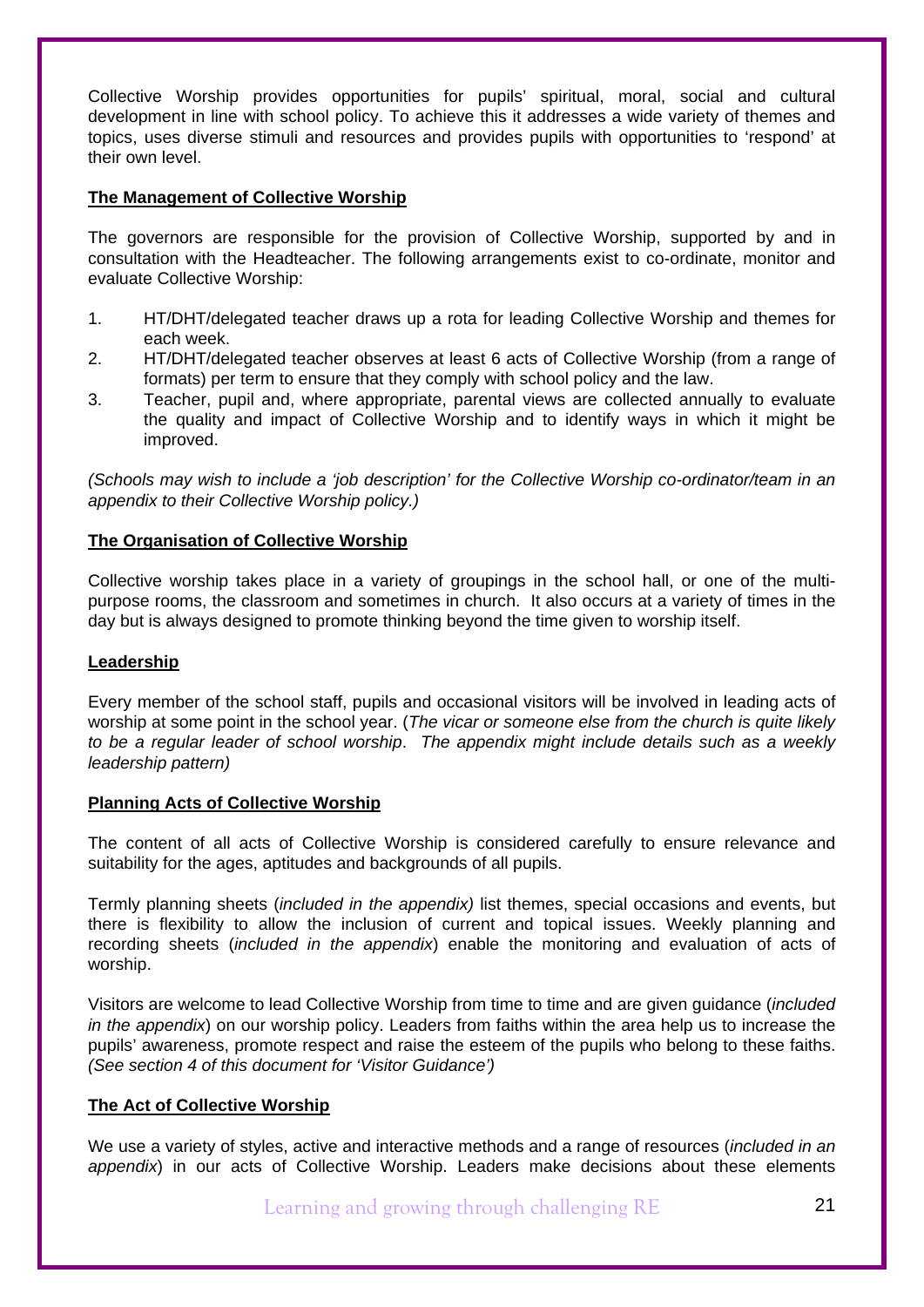Collective Worship provides opportunities for pupils' spiritual, moral, social and cultural development in line with school policy. To achieve this it addresses a wide variety of themes and topics, uses diverse stimuli and resources and provides pupils with opportunities to 'respond' at their own level.

#### **The Management of Collective Worship**

The governors are responsible for the provision of Collective Worship, supported by and in consultation with the Headteacher. The following arrangements exist to co-ordinate, monitor and evaluate Collective Worship:

- 1. HT/DHT/delegated teacher draws up a rota for leading Collective Worship and themes for each week.
- 2. HT/DHT/delegated teacher observes at least 6 acts of Collective Worship (from a range of formats) per term to ensure that they comply with school policy and the law.
- 3. Teacher, pupil and, where appropriate, parental views are collected annually to evaluate the quality and impact of Collective Worship and to identify ways in which it might be improved.

*(Schools may wish to include a 'job description' for the Collective Worship co-ordinator/team in an appendix to their Collective Worship policy.)* 

#### **The Organisation of Collective Worship**

Collective worship takes place in a variety of groupings in the school hall, or one of the multipurpose rooms, the classroom and sometimes in church. It also occurs at a variety of times in the day but is always designed to promote thinking beyond the time given to worship itself.

#### **Leadership**

Every member of the school staff, pupils and occasional visitors will be involved in leading acts of worship at some point in the school year. (*The vicar or someone else from the church is quite likely to be a regular leader of school worship*. *The appendix might include details such as a weekly leadership pattern)* 

#### **Planning Acts of Collective Worship**

The content of all acts of Collective Worship is considered carefully to ensure relevance and suitability for the ages, aptitudes and backgrounds of all pupils.

Termly planning sheets (*included in the appendix)* list themes, special occasions and events, but there is flexibility to allow the inclusion of current and topical issues. Weekly planning and recording sheets (*included in the appendix*) enable the monitoring and evaluation of acts of worship.

Visitors are welcome to lead Collective Worship from time to time and are given guidance (*included in the appendix*) on our worship policy. Leaders from faiths within the area help us to increase the pupils' awareness, promote respect and raise the esteem of the pupils who belong to these faiths. *(See section 4 of this document for 'Visitor Guidance')* 

#### **The Act of Collective Worship**

We use a variety of styles, active and interactive methods and a range of resources (*included in an appendix*) in our acts of Collective Worship. Leaders make decisions about these elements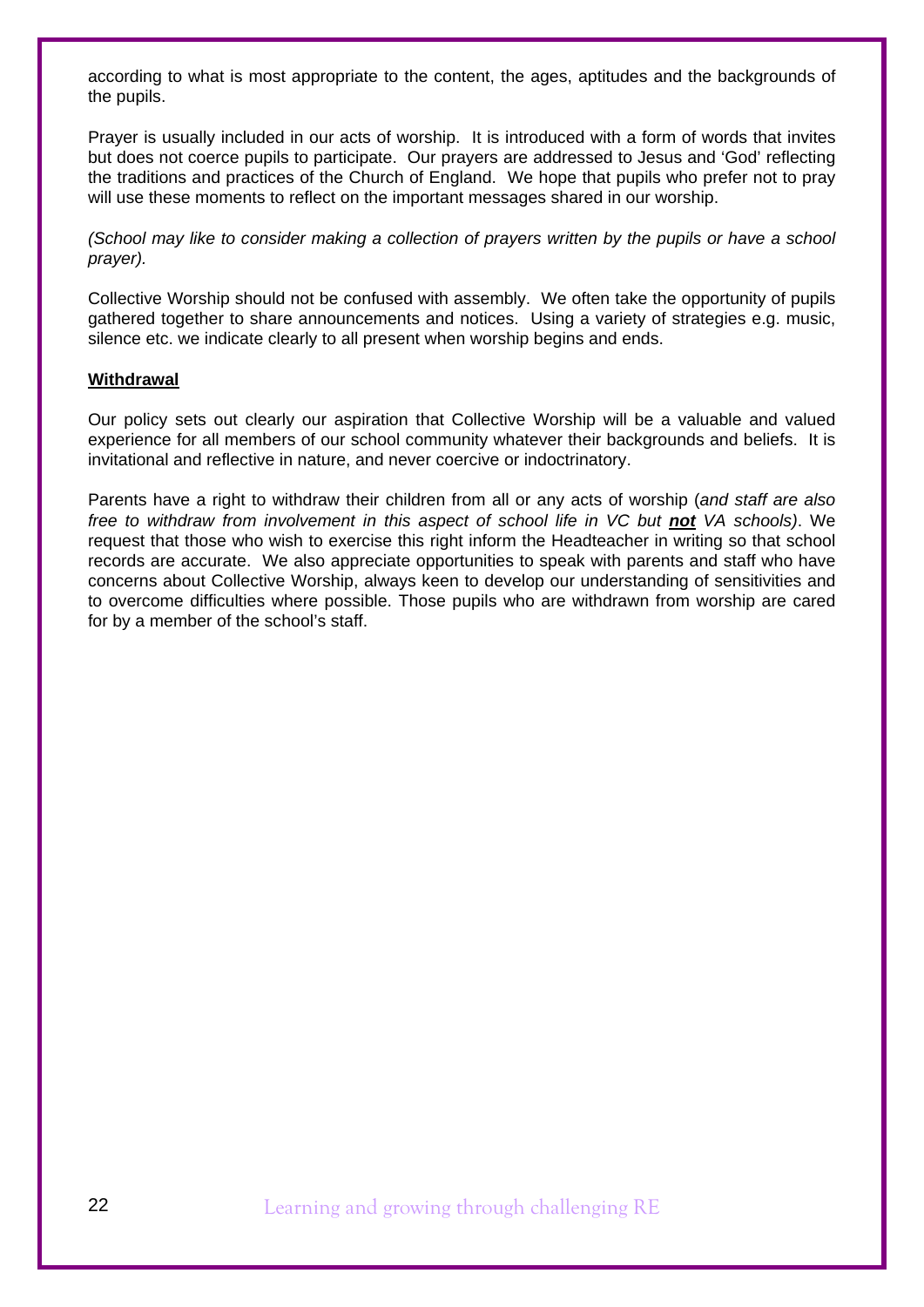according to what is most appropriate to the content, the ages, aptitudes and the backgrounds of the pupils.

Prayer is usually included in our acts of worship. It is introduced with a form of words that invites but does not coerce pupils to participate. Our prayers are addressed to Jesus and 'God' reflecting the traditions and practices of the Church of England. We hope that pupils who prefer not to pray will use these moments to reflect on the important messages shared in our worship.

*(School may like to consider making a collection of prayers written by the pupils or have a school prayer).*

Collective Worship should not be confused with assembly. We often take the opportunity of pupils gathered together to share announcements and notices. Using a variety of strategies e.g. music, silence etc. we indicate clearly to all present when worship begins and ends.

#### **Withdrawal**

Our policy sets out clearly our aspiration that Collective Worship will be a valuable and valued experience for all members of our school community whatever their backgrounds and beliefs. It is invitational and reflective in nature, and never coercive or indoctrinatory.

Parents have a right to withdraw their children from all or any acts of worship (*and staff are also free to withdraw from involvement in this aspect of school life in VC but not VA schools).* We request that those who wish to exercise this right inform the Headteacher in writing so that school records are accurate. We also appreciate opportunities to speak with parents and staff who have concerns about Collective Worship, always keen to develop our understanding of sensitivities and to overcome difficulties where possible. Those pupils who are withdrawn from worship are cared for by a member of the school's staff.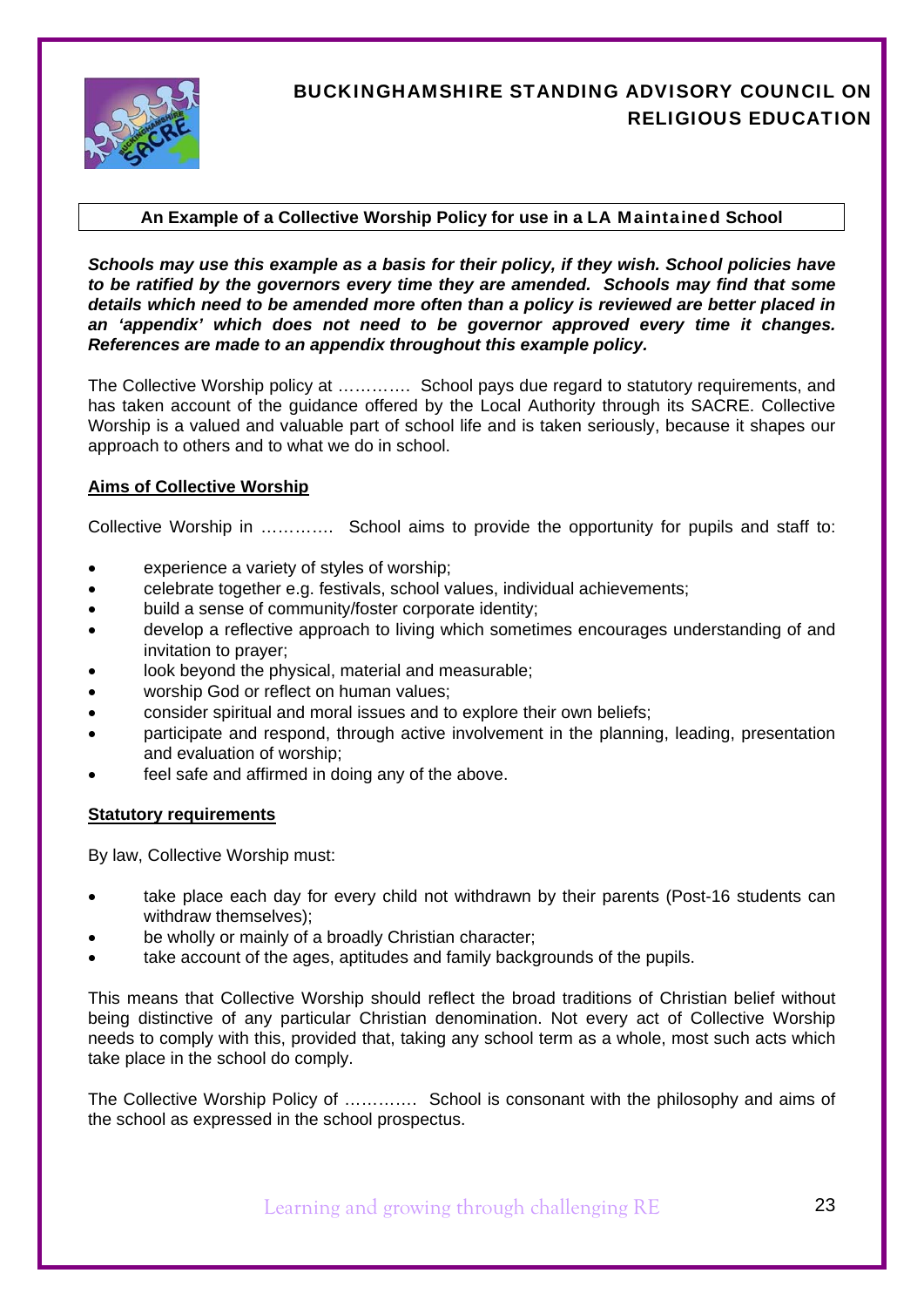

## BUCKINGHAMSHIRE STANDING ADVISORY COUNCIL ON RELIGIOUS EDUCATION

### **An Example of a Collective Worship Policy for use in a** LA Maintained **School**

*Schools may use this example as a basis for their policy, if they wish. School policies have to be ratified by the governors every time they are amended. Schools may find that some details which need to be amended more often than a policy is reviewed are better placed in an 'appendix' which does not need to be governor approved every time it changes. References are made to an appendix throughout this example policy.* 

The Collective Worship policy at …………. School pays due regard to statutory requirements, and has taken account of the guidance offered by the Local Authority through its SACRE. Collective Worship is a valued and valuable part of school life and is taken seriously, because it shapes our approach to others and to what we do in school.

### **Aims of Collective Worship**

Collective Worship in …………. School aims to provide the opportunity for pupils and staff to:

- experience a variety of styles of worship;
- celebrate together e.g. festivals, school values, individual achievements;
- build a sense of community/foster corporate identity;
- develop a reflective approach to living which sometimes encourages understanding of and invitation to prayer;
- look beyond the physical, material and measurable;
- worship God or reflect on human values;
- consider spiritual and moral issues and to explore their own beliefs;
- participate and respond, through active involvement in the planning, leading, presentation and evaluation of worship;
- feel safe and affirmed in doing any of the above.

#### **Statutory requirements**

By law, Collective Worship must:

- take place each day for every child not withdrawn by their parents (Post-16 students can withdraw themselves);
- be wholly or mainly of a broadly Christian character;
- take account of the ages, aptitudes and family backgrounds of the pupils.

This means that Collective Worship should reflect the broad traditions of Christian belief without being distinctive of any particular Christian denomination. Not every act of Collective Worship needs to comply with this, provided that, taking any school term as a whole, most such acts which take place in the school do comply.

The Collective Worship Policy of …………. School is consonant with the philosophy and aims of the school as expressed in the school prospectus.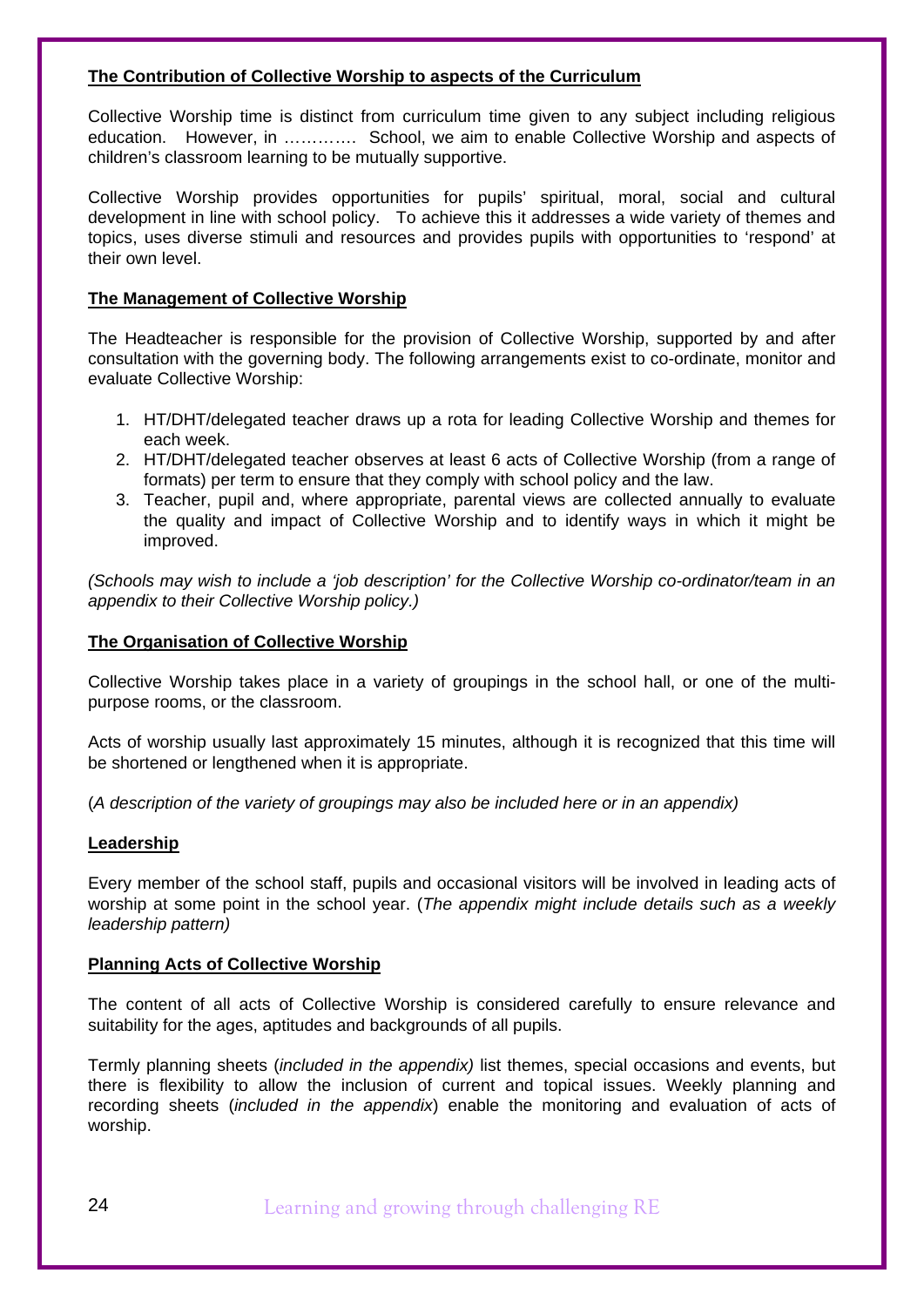#### **The Contribution of Collective Worship to aspects of the Curriculum**

Collective Worship time is distinct from curriculum time given to any subject including religious education. However, in …………. School, we aim to enable Collective Worship and aspects of children's classroom learning to be mutually supportive.

Collective Worship provides opportunities for pupils' spiritual, moral, social and cultural development in line with school policy. To achieve this it addresses a wide variety of themes and topics, uses diverse stimuli and resources and provides pupils with opportunities to 'respond' at their own level.

#### **The Management of Collective Worship**

The Headteacher is responsible for the provision of Collective Worship, supported by and after consultation with the governing body. The following arrangements exist to co-ordinate, monitor and evaluate Collective Worship:

- 1. HT/DHT/delegated teacher draws up a rota for leading Collective Worship and themes for each week.
- 2. HT/DHT/delegated teacher observes at least 6 acts of Collective Worship (from a range of formats) per term to ensure that they comply with school policy and the law.
- 3. Teacher, pupil and, where appropriate, parental views are collected annually to evaluate the quality and impact of Collective Worship and to identify ways in which it might be improved.

*(Schools may wish to include a 'job description' for the Collective Worship co-ordinator/team in an appendix to their Collective Worship policy.)* 

#### **The Organisation of Collective Worship**

Collective Worship takes place in a variety of groupings in the school hall, or one of the multipurpose rooms, or the classroom.

Acts of worship usually last approximately 15 minutes, although it is recognized that this time will be shortened or lengthened when it is appropriate.

(*A description of the variety of groupings may also be included here or in an appendix)*

#### **Leadership**

Every member of the school staff, pupils and occasional visitors will be involved in leading acts of worship at some point in the school year. (*The appendix might include details such as a weekly leadership pattern)* 

#### **Planning Acts of Collective Worship**

The content of all acts of Collective Worship is considered carefully to ensure relevance and suitability for the ages, aptitudes and backgrounds of all pupils.

Termly planning sheets (*included in the appendix)* list themes, special occasions and events, but there is flexibility to allow the inclusion of current and topical issues. Weekly planning and recording sheets (*included in the appendix*) enable the monitoring and evaluation of acts of worship.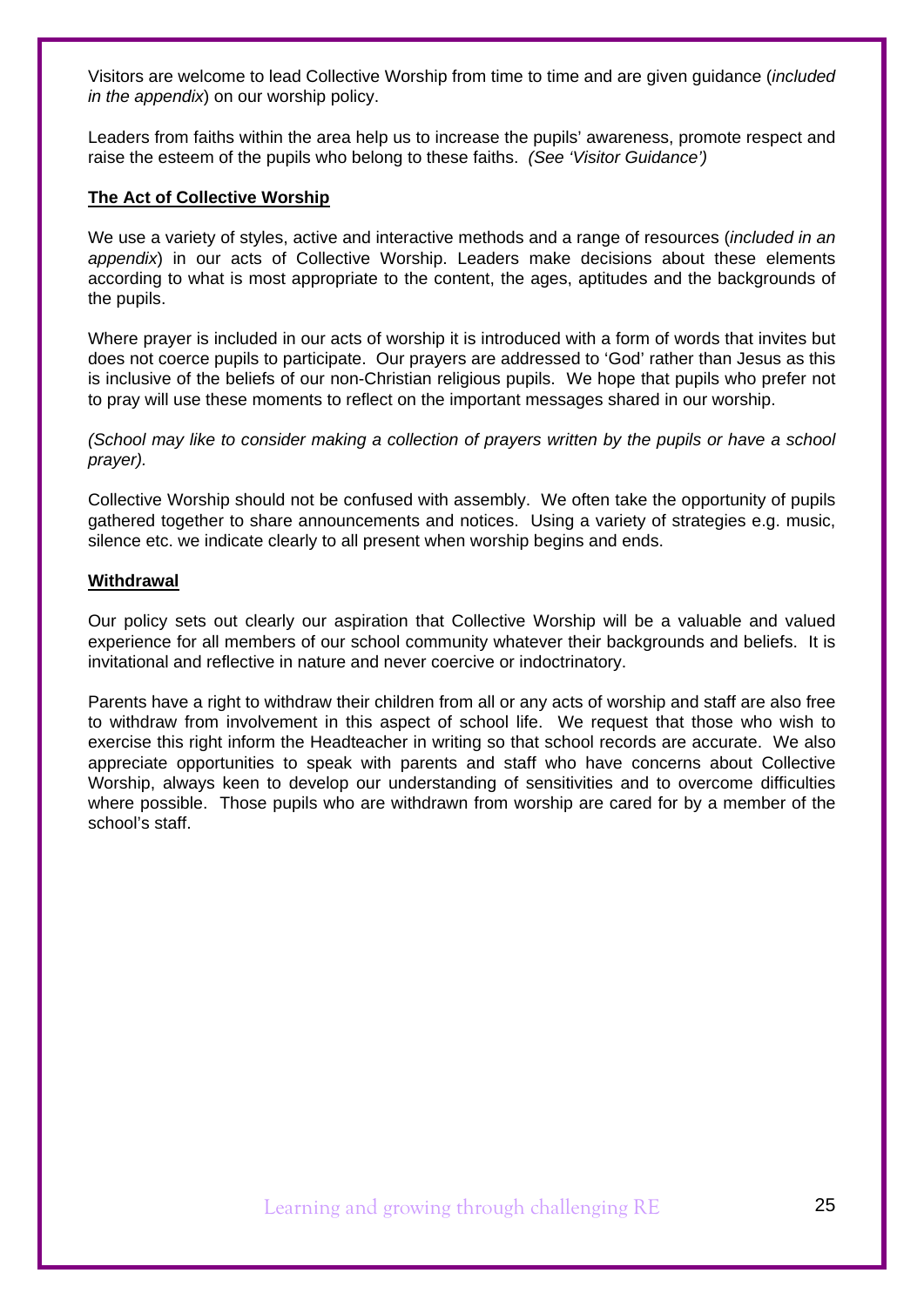Visitors are welcome to lead Collective Worship from time to time and are given guidance (*included in the appendix*) on our worship policy.

Leaders from faiths within the area help us to increase the pupils' awareness, promote respect and raise the esteem of the pupils who belong to these faiths. *(See 'Visitor Guidance')* 

#### **The Act of Collective Worship**

We use a variety of styles, active and interactive methods and a range of resources (*included in an appendix*) in our acts of Collective Worship. Leaders make decisions about these elements according to what is most appropriate to the content, the ages, aptitudes and the backgrounds of the pupils.

Where prayer is included in our acts of worship it is introduced with a form of words that invites but does not coerce pupils to participate. Our prayers are addressed to 'God' rather than Jesus as this is inclusive of the beliefs of our non-Christian religious pupils. We hope that pupils who prefer not to pray will use these moments to reflect on the important messages shared in our worship.

*(School may like to consider making a collection of prayers written by the pupils or have a school prayer).*

Collective Worship should not be confused with assembly. We often take the opportunity of pupils gathered together to share announcements and notices. Using a variety of strategies e.g. music, silence etc. we indicate clearly to all present when worship begins and ends.

#### **Withdrawal**

Our policy sets out clearly our aspiration that Collective Worship will be a valuable and valued experience for all members of our school community whatever their backgrounds and beliefs. It is invitational and reflective in nature and never coercive or indoctrinatory.

Parents have a right to withdraw their children from all or any acts of worship and staff are also free to withdraw from involvement in this aspect of school life. We request that those who wish to exercise this right inform the Headteacher in writing so that school records are accurate. We also appreciate opportunities to speak with parents and staff who have concerns about Collective Worship, always keen to develop our understanding of sensitivities and to overcome difficulties where possible. Those pupils who are withdrawn from worship are cared for by a member of the school's staff.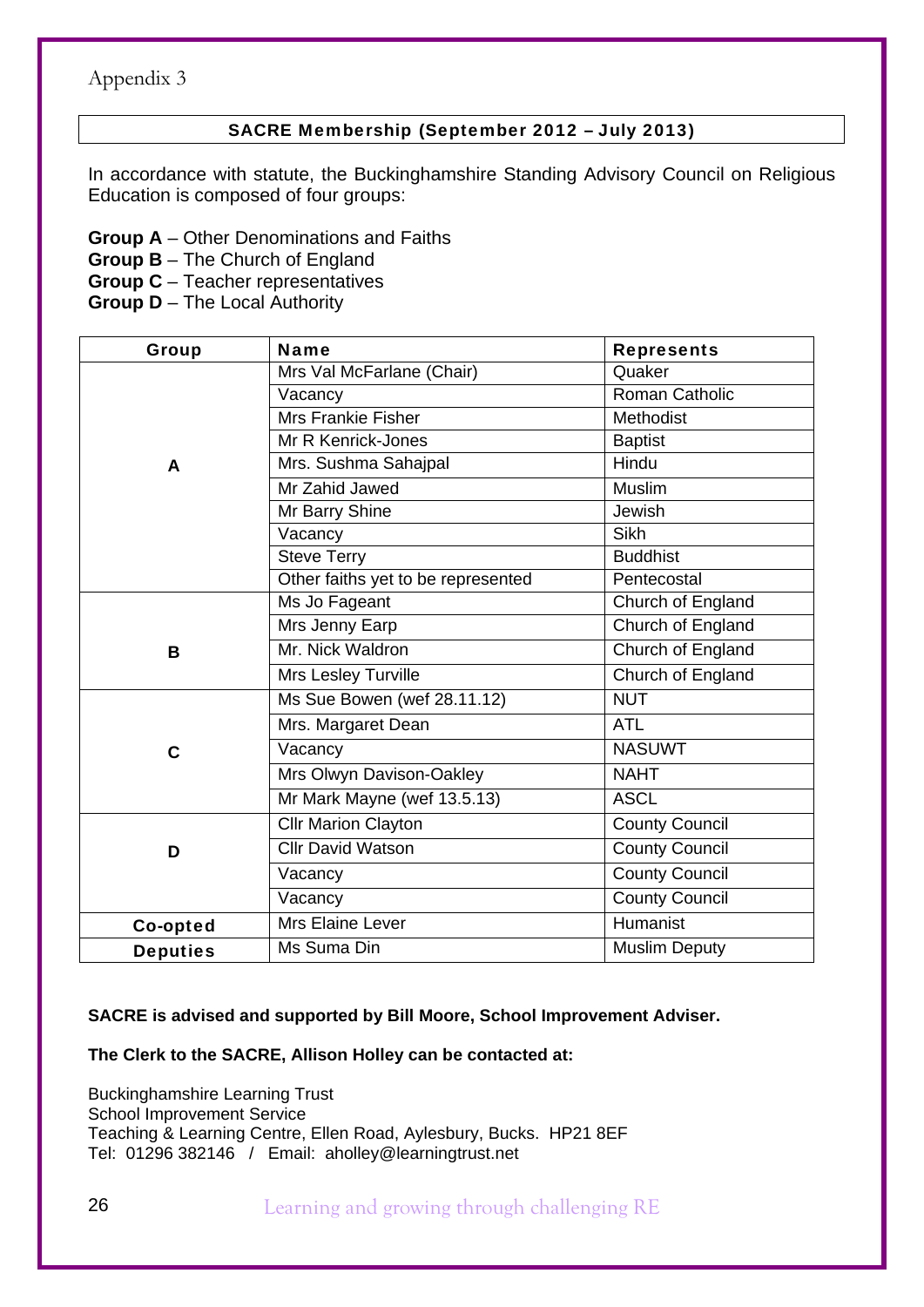## SACRE Membership (September 2012 – July 2013)

In accordance with statute, the Buckinghamshire Standing Advisory Council on Religious Education is composed of four groups:

**Group A** – Other Denominations and Faiths

**Group B** – The Church of England

**Group C** – Teacher representatives

**Group D** – The Local Authority

| <b>Group</b>    | <b>Name</b>                        | <b>Represents</b>     |  |  |  |  |
|-----------------|------------------------------------|-----------------------|--|--|--|--|
|                 | Mrs Val McFarlane (Chair)          | Quaker                |  |  |  |  |
|                 | Vacancy                            | <b>Roman Catholic</b> |  |  |  |  |
|                 | <b>Mrs Frankie Fisher</b>          | <b>Methodist</b>      |  |  |  |  |
|                 | Mr R Kenrick-Jones                 | <b>Baptist</b>        |  |  |  |  |
| A               | Mrs. Sushma Sahajpal               | Hindu                 |  |  |  |  |
|                 | Mr Zahid Jawed                     | Muslim                |  |  |  |  |
|                 | Mr Barry Shine                     | Jewish                |  |  |  |  |
|                 | Vacancy                            | <b>Sikh</b>           |  |  |  |  |
|                 | <b>Steve Terry</b>                 | <b>Buddhist</b>       |  |  |  |  |
|                 | Other faiths yet to be represented | Pentecostal           |  |  |  |  |
|                 | Ms Jo Fageant                      | Church of England     |  |  |  |  |
|                 | Mrs Jenny Earp                     | Church of England     |  |  |  |  |
| B               | Mr. Nick Waldron                   | Church of England     |  |  |  |  |
|                 | Mrs Lesley Turville                | Church of England     |  |  |  |  |
|                 | Ms Sue Bowen (wef 28.11.12)        | <b>NUT</b>            |  |  |  |  |
|                 | Mrs. Margaret Dean                 | <b>ATL</b>            |  |  |  |  |
| $\mathbf C$     | Vacancy                            | <b>NASUWT</b>         |  |  |  |  |
|                 | Mrs Olwyn Davison-Oakley           | <b>NAHT</b>           |  |  |  |  |
|                 | Mr Mark Mayne (wef 13.5.13)        | <b>ASCL</b>           |  |  |  |  |
|                 | <b>Cllr Marion Clayton</b>         | <b>County Council</b> |  |  |  |  |
| D               | <b>Cllr David Watson</b>           | <b>County Council</b> |  |  |  |  |
|                 | Vacancy                            | <b>County Council</b> |  |  |  |  |
|                 | Vacancy                            | <b>County Council</b> |  |  |  |  |
| Co-opted        | Mrs Elaine Lever                   | Humanist              |  |  |  |  |
| <b>Deputies</b> | Ms Suma Din                        | <b>Muslim Deputy</b>  |  |  |  |  |

### **SACRE is advised and supported by Bill Moore, School Improvement Adviser.**

### **The Clerk to the SACRE, Allison Holley can be contacted at:**

Buckinghamshire Learning Trust School Improvement Service Teaching & Learning Centre, Ellen Road, Aylesbury, Bucks. HP21 8EF Tel: 01296 382146 / Email: aholley@learningtrust.net